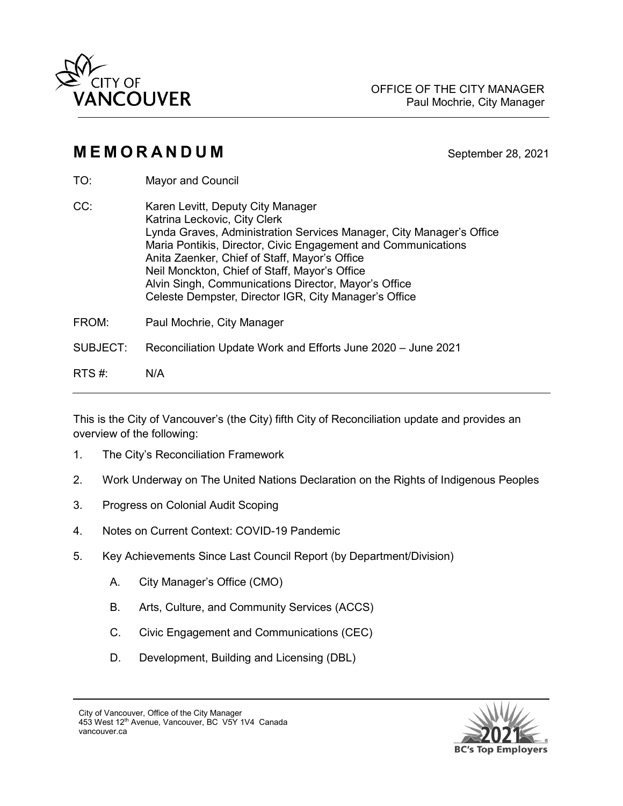

# **MEMORANDUM** September 28, 2021

- TO: Mayor and Council
- CC: Karen Levitt, Deputy City Manager Katrina Leckovic, City Clerk Lynda Graves, Administration Services Manager, City Manager's Office Maria Pontikis, Director, Civic Engagement and Communications Anita Zaenker, Chief of Staff, Mayor's Office Neil Monckton, Chief of Staff, Mayor's Office Alvin Singh, Communications Director, Mayor's Office Celeste Dempster, Director IGR, City Manager's Office
- FROM: Paul Mochrie, City Manager
- SUBJECT: Reconciliation Update Work and Efforts June 2020 June 2021
- RTS #: N/A

This is the City of Vancouver's (the City) fifth City of Reconciliation update and provides an overview of the following:

- 1. The City's Reconciliation Framework
- 2. Work Underway on The United Nations Declaration on the Rights of Indigenous Peoples
- 3. Progress on Colonial Audit Scoping
- 4. Notes on Current Context: COVID-19 Pandemic
- 5. Key Achievements Since Last Council Report (by Department/Division)
	- A. City Manager's Office (CMO)
	- B. Arts, Culture, and Community Services (ACCS)
	- C. Civic Engagement and Communications (CEC)
	- D. Development, Building and Licensing (DBL)



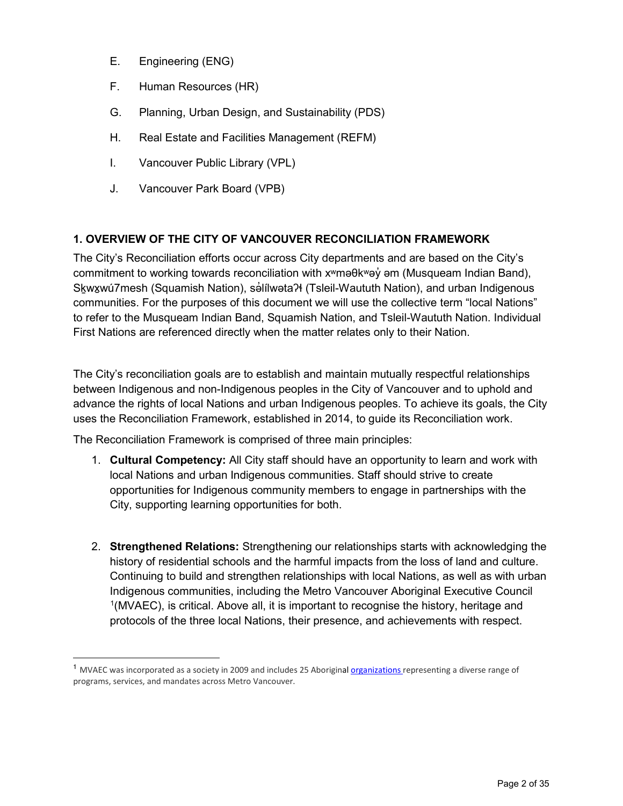- E. Engineering (ENG)
- F. Human Resources (HR)
- G. Planning, Urban Design, and Sustainability (PDS)
- H. Real Estate and Facilities Management (REFM)
- I. Vancouver Public Library (VPL)
- J. Vancouver Park Board (VPB)

# **1. OVERVIEW OF THE CITY OF VANCOUVER RECONCILIATION FRAMEWORK**

The City's Reconciliation efforts occur across City departments and are based on the City's commitment to working towards reconciliation with xʷməθkʷəy̓ əm (Musqueam Indian Band), Skwxwú7mesh (Squamish Nation), salílwəta?ł (Tsleil-Waututh Nation), and urban Indigenous communities. For the purposes of this document we will use the collective term "local Nations" to refer to the Musqueam Indian Band, Squamish Nation, and Tsleil-Waututh Nation. Individual First Nations are referenced directly when the matter relates only to their Nation.

The City's reconciliation goals are to establish and maintain mutually respectful relationships between Indigenous and non-Indigenous peoples in the City of Vancouver and to uphold and advance the rights of local Nations and urban Indigenous peoples. To achieve its goals, the City uses the Reconciliation Framework, established in 2014, to guide its Reconciliation work.

The Reconciliation Framework is comprised of three main principles:

- 1. **Cultural Competency:** All City staff should have an opportunity to learn and work with local Nations and urban Indigenous communities. Staff should strive to create opportunities for Indigenous community members to engage in partnerships with the City, supporting learning opportunities for both.
- 2. **Strengthened Relations:** Strengthening our relationships starts with acknowledging the history of residential schools and the harmful impacts from the loss of land and culture. Continuing to build and strengthen relationships with local Nations, as well as with urban Indigenous communities, including the Metro Vancouver Aboriginal Executive Council <sup>[1](#page-1-0)</sup>(MVAEC), is critical. Above all, it is important to recognise the history, heritage and protocols of the three local Nations, their presence, and achievements with respect.

<span id="page-1-0"></span><sup>&</sup>lt;sup>1</sup> MVAEC was incorporated as a society in 2009 and includes 25 Aboriginal [organizations](https://www.mvaec.ca/about/members) representing a diverse range of programs, services, and mandates across Metro Vancouver.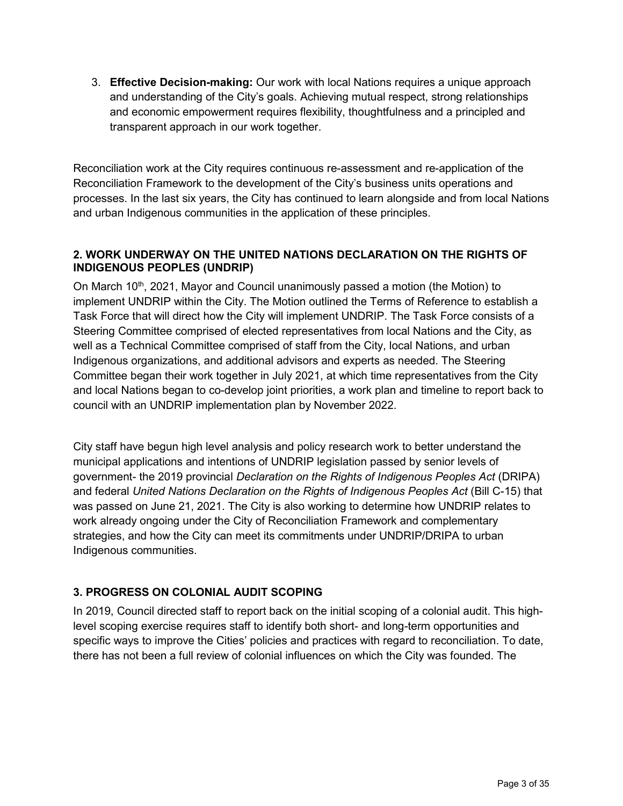3. **Effective Decision-making:** Our work with local Nations requires a unique approach and understanding of the City's goals. Achieving mutual respect, strong relationships and economic empowerment requires flexibility, thoughtfulness and a principled and transparent approach in our work together.

Reconciliation work at the City requires continuous re-assessment and re-application of the Reconciliation Framework to the development of the City's business units operations and processes. In the last six years, the City has continued to learn alongside and from local Nations and urban Indigenous communities in the application of these principles.

### **2. WORK UNDERWAY ON THE UNITED NATIONS DECLARATION ON THE RIGHTS OF INDIGENOUS PEOPLES (UNDRIP)**

On March 10<sup>th</sup>, 2021, Mayor and Council unanimously passed a motion (the Motion) to implement UNDRIP within the City. The Motion outlined the Terms of Reference to establish a Task Force that will direct how the City will implement UNDRIP. The Task Force consists of a Steering Committee comprised of elected representatives from local Nations and the City, as well as a Technical Committee comprised of staff from the City, local Nations, and urban Indigenous organizations, and additional advisors and experts as needed. The Steering Committee began their work together in July 2021, at which time representatives from the City and local Nations began to co-develop joint priorities, a work plan and timeline to report back to council with an UNDRIP implementation plan by November 2022.

City staff have begun high level analysis and policy research work to better understand the municipal applications and intentions of UNDRIP legislation passed by senior levels of government- the 2019 provincial *Declaration on the Rights of Indigenous Peoples Act* (DRIPA) and federal *United Nations Declaration on the Rights of Indigenous Peoples Act* (Bill C-15) that was passed on June 21, 2021. The City is also working to determine how UNDRIP relates to work already ongoing under the City of Reconciliation Framework and complementary strategies, and how the City can meet its commitments under UNDRIP/DRIPA to urban Indigenous communities.

### **3. PROGRESS ON COLONIAL AUDIT SCOPING**

In 2019, Council directed staff to report back on the initial scoping of a colonial audit. This highlevel scoping exercise requires staff to identify both short- and long-term opportunities and specific ways to improve the Cities' policies and practices with regard to reconciliation. To date, there has not been a full review of colonial influences on which the City was founded. The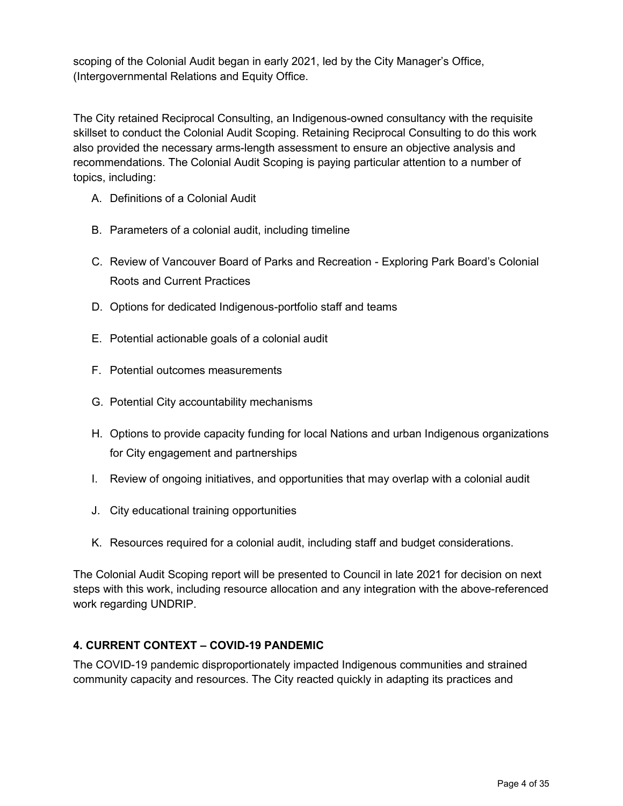scoping of the Colonial Audit began in early 2021, led by the City Manager's Office, (Intergovernmental Relations and Equity Office.

The City retained Reciprocal Consulting, an Indigenous-owned consultancy with the requisite skillset to conduct the Colonial Audit Scoping. Retaining Reciprocal Consulting to do this work also provided the necessary arms-length assessment to ensure an objective analysis and recommendations. The Colonial Audit Scoping is paying particular attention to a number of topics, including:

- A. Definitions of a Colonial Audit
- B. Parameters of a colonial audit, including timeline
- C. Review of Vancouver Board of Parks and Recreation Exploring Park Board's Colonial Roots and Current Practices
- D. Options for dedicated Indigenous-portfolio staff and teams
- E. Potential actionable goals of a colonial audit
- F. Potential outcomes measurements
- G. Potential City accountability mechanisms
- H. Options to provide capacity funding for local Nations and urban Indigenous organizations for City engagement and partnerships
- I. Review of ongoing initiatives, and opportunities that may overlap with a colonial audit
- J. City educational training opportunities
- K. Resources required for a colonial audit, including staff and budget considerations.

The Colonial Audit Scoping report will be presented to Council in late 2021 for decision on next steps with this work, including resource allocation and any integration with the above-referenced work regarding UNDRIP.

#### **4. CURRENT CONTEXT – COVID-19 PANDEMIC**

The COVID-19 pandemic disproportionately impacted Indigenous communities and strained community capacity and resources. The City reacted quickly in adapting its practices and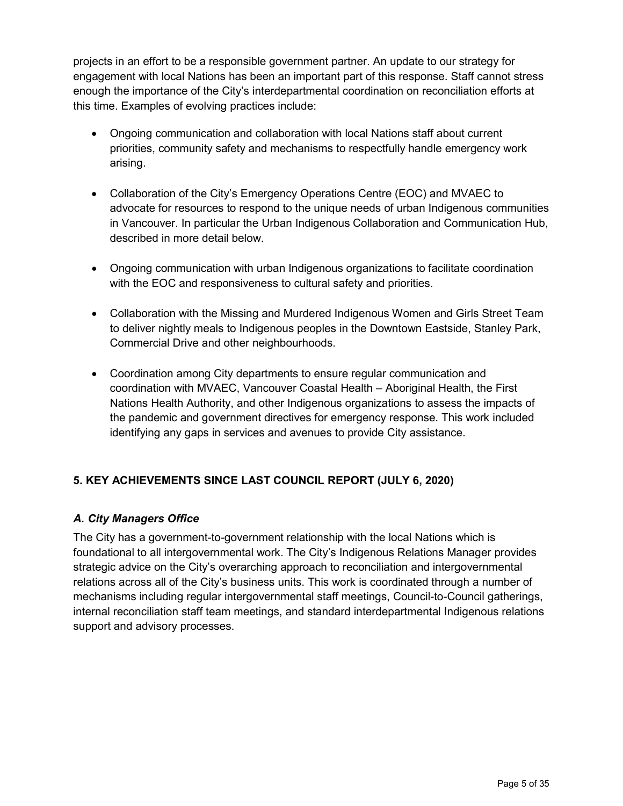projects in an effort to be a responsible government partner. An update to our strategy for engagement with local Nations has been an important part of this response. Staff cannot stress enough the importance of the City's interdepartmental coordination on reconciliation efforts at this time. Examples of evolving practices include:

- Ongoing communication and collaboration with local Nations staff about current priorities, community safety and mechanisms to respectfully handle emergency work arising.
- Collaboration of the City's Emergency Operations Centre (EOC) and MVAEC to advocate for resources to respond to the unique needs of urban Indigenous communities in Vancouver. In particular the Urban Indigenous Collaboration and Communication Hub, described in more detail below.
- Ongoing communication with urban Indigenous organizations to facilitate coordination with the EOC and responsiveness to cultural safety and priorities.
- Collaboration with the Missing and Murdered Indigenous Women and Girls Street Team to deliver nightly meals to Indigenous peoples in the Downtown Eastside, Stanley Park, Commercial Drive and other neighbourhoods.
- Coordination among City departments to ensure regular communication and coordination with MVAEC, Vancouver Coastal Health – Aboriginal Health, the First Nations Health Authority, and other Indigenous organizations to assess the impacts of the pandemic and government directives for emergency response. This work included identifying any gaps in services and avenues to provide City assistance.

# **5. KEY ACHIEVEMENTS SINCE LAST COUNCIL REPORT (JULY 6, 2020)**

### *A. City Managers Office*

The City has a government-to-government relationship with the local Nations which is foundational to all intergovernmental work. The City's Indigenous Relations Manager provides strategic advice on the City's overarching approach to reconciliation and intergovernmental relations across all of the City's business units. This work is coordinated through a number of mechanisms including regular intergovernmental staff meetings, Council-to-Council gatherings, internal reconciliation staff team meetings, and standard interdepartmental Indigenous relations support and advisory processes.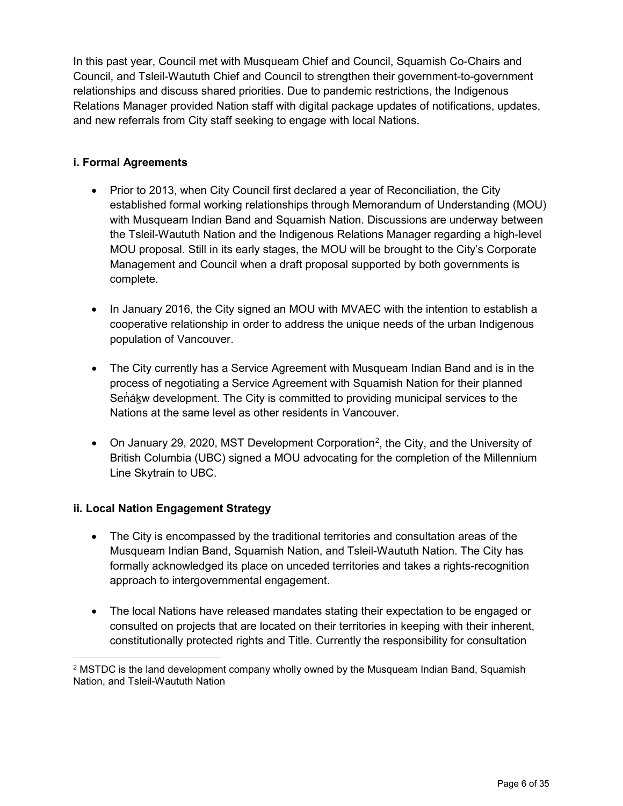In this past year, Council met with Musqueam Chief and Council, Squamish Co-Chairs and Council, and Tsleil-Waututh Chief and Council to strengthen their government-to-government relationships and discuss shared priorities. Due to pandemic restrictions, the Indigenous Relations Manager provided Nation staff with digital package updates of notifications, updates, and new referrals from City staff seeking to engage with local Nations.

### **i. Formal Agreements**

- Prior to 2013, when City Council first declared a year of Reconciliation, the City established formal working relationships through Memorandum of Understanding (MOU) with Musqueam Indian Band and Squamish Nation. Discussions are underway between the Tsleil-Waututh Nation and the Indigenous Relations Manager regarding a high-level MOU proposal. Still in its early stages, the MOU will be brought to the City's Corporate Management and Council when a draft proposal supported by both governments is complete.
- In January 2016, the City signed an MOU with MVAEC with the intention to establish a cooperative relationship in order to address the unique needs of the urban Indigenous population of Vancouver.
- The City currently has a Service Agreement with Musqueam Indian Band and is in the process of negotiating a Service Agreement with Squamish Nation for their planned Senask development. The City is committed to providing municipal services to the Nations at the same level as other residents in Vancouver.
- On January [2](#page-5-0)9, 2020, MST Development Corporation<sup>2</sup>, the City, and the University of British Columbia (UBC) signed a MOU advocating for the completion of the Millennium Line Skytrain to UBC.

#### **ii. Local Nation Engagement Strategy**

- The City is encompassed by the traditional territories and consultation areas of the Musqueam Indian Band, Squamish Nation, and Tsleil-Waututh Nation. The City has formally acknowledged its place on unceded territories and takes a rights-recognition approach to intergovernmental engagement.
- The local Nations have released mandates stating their expectation to be engaged or consulted on projects that are located on their territories in keeping with their inherent, constitutionally protected rights and Title. Currently the responsibility for consultation

<span id="page-5-0"></span><sup>2</sup> MSTDC is the land development company wholly owned by the Musqueam Indian Band, Squamish Nation, and Tsleil-Waututh Nation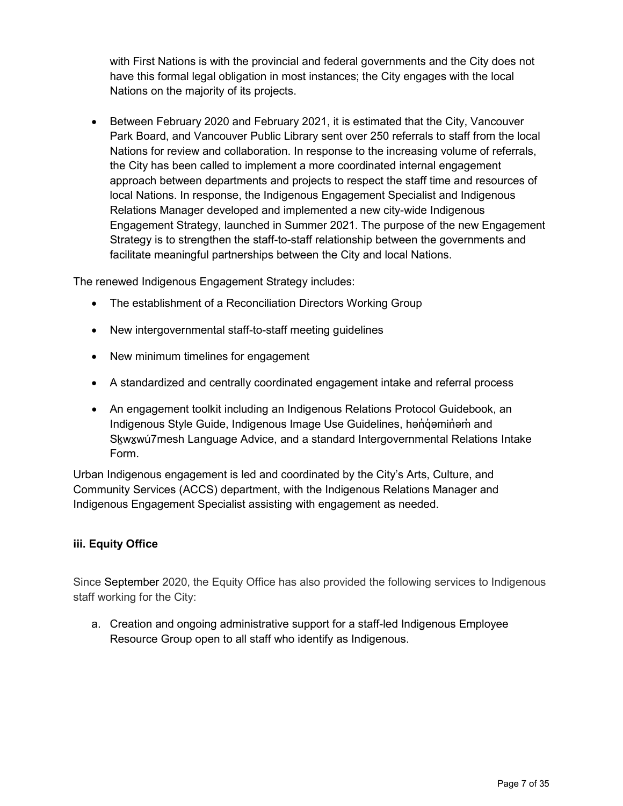with First Nations is with the provincial and federal governments and the City does not have this formal legal obligation in most instances; the City engages with the local Nations on the majority of its projects.

• Between February 2020 and February 2021, it is estimated that the City, Vancouver Park Board, and Vancouver Public Library sent over 250 referrals to staff from the local Nations for review and collaboration. In response to the increasing volume of referrals, the City has been called to implement a more coordinated internal engagement approach between departments and projects to respect the staff time and resources of local Nations. In response, the Indigenous Engagement Specialist and Indigenous Relations Manager developed and implemented a new city-wide Indigenous Engagement Strategy, launched in Summer 2021. The purpose of the new Engagement Strategy is to strengthen the staff-to-staff relationship between the governments and facilitate meaningful partnerships between the City and local Nations.

The renewed Indigenous Engagement Strategy includes:

- The establishment of a Reconciliation Directors Working Group
- New intergovernmental staff-to-staff meeting guidelines
- New minimum timelines for engagement
- A standardized and centrally coordinated engagement intake and referral process
- An engagement toolkit including an Indigenous Relations Protocol Guidebook, an Indigenous Style Guide, Indigenous Image Use Guidelines, həndəminəm and Skwxwú7mesh Language Advice, and a standard Intergovernmental Relations Intake Form.

Urban Indigenous engagement is led and coordinated by the City's Arts, Culture, and Community Services (ACCS) department, with the Indigenous Relations Manager and Indigenous Engagement Specialist assisting with engagement as needed.

#### **iii. Equity Office**

Since September 2020, the Equity Office has also provided the following services to Indigenous staff working for the City:

a. Creation and ongoing administrative support for a staff-led Indigenous Employee Resource Group open to all staff who identify as Indigenous.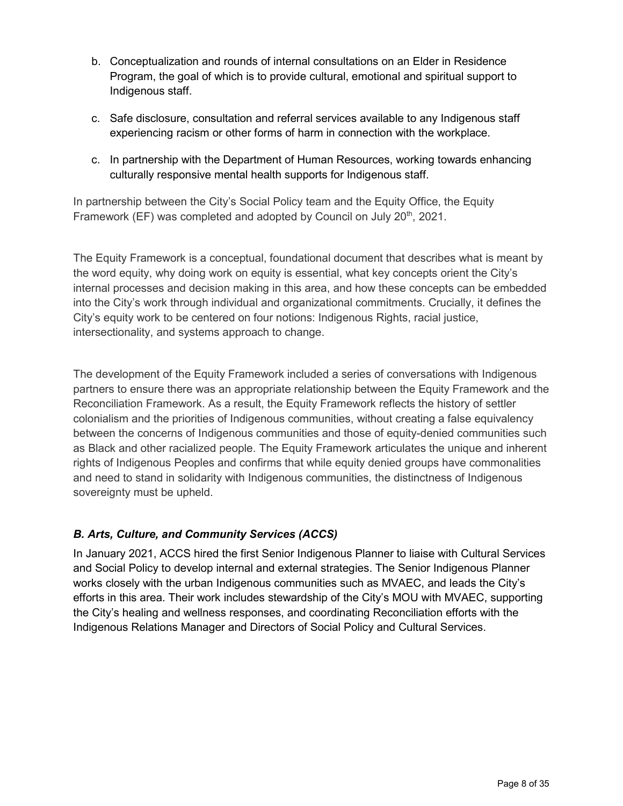- b. Conceptualization and rounds of internal consultations on an Elder in Residence Program, the goal of which is to provide cultural, emotional and spiritual support to Indigenous staff.
- c. Safe disclosure, consultation and referral services available to any Indigenous staff experiencing racism or other forms of harm in connection with the workplace.
- c. In partnership with the Department of Human Resources, working towards enhancing culturally responsive mental health supports for Indigenous staff.

In partnership between the City's Social Policy team and the Equity Office, the Equity Framework (EF) was completed and adopted by Council on July 20<sup>th</sup>, 2021.

The Equity Framework is a conceptual, foundational document that describes what is meant by the word equity, why doing work on equity is essential, what key concepts orient the City's internal processes and decision making in this area, and how these concepts can be embedded into the City's work through individual and organizational commitments. Crucially, it defines the City's equity work to be centered on four notions: Indigenous Rights, racial justice, intersectionality, and systems approach to change.

The development of the Equity Framework included a series of conversations with Indigenous partners to ensure there was an appropriate relationship between the Equity Framework and the Reconciliation Framework. As a result, the Equity Framework reflects the history of settler colonialism and the priorities of Indigenous communities, without creating a false equivalency between the concerns of Indigenous communities and those of equity-denied communities such as Black and other racialized people. The Equity Framework articulates the unique and inherent rights of Indigenous Peoples and confirms that while equity denied groups have commonalities and need to stand in solidarity with Indigenous communities, the distinctness of Indigenous sovereignty must be upheld.

# *B. Arts, Culture, and Community Services (ACCS)*

In January 2021, ACCS hired the first Senior Indigenous Planner to liaise with Cultural Services and Social Policy to develop internal and external strategies. The Senior Indigenous Planner works closely with the urban Indigenous communities such as MVAEC, and leads the City's efforts in this area. Their work includes stewardship of the City's MOU with MVAEC, supporting the City's healing and wellness responses, and coordinating Reconciliation efforts with the Indigenous Relations Manager and Directors of Social Policy and Cultural Services.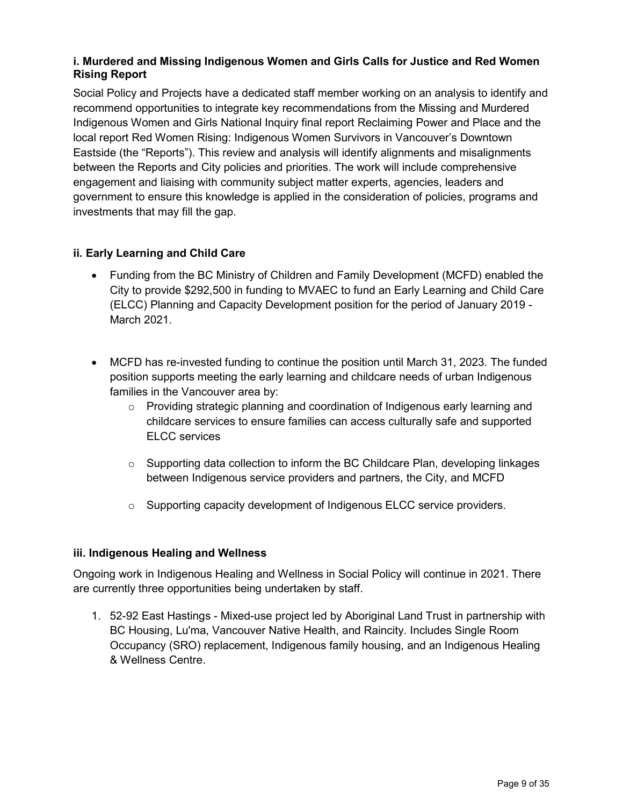### **i. Murdered and Missing Indigenous Women and Girls Calls for Justice and Red Women Rising Report**

Social Policy and Projects have a dedicated staff member working on an analysis to identify and recommend opportunities to integrate key recommendations from the Missing and Murdered Indigenous Women and Girls National Inquiry final report Reclaiming Power and Place and the local report Red Women Rising: Indigenous Women Survivors in Vancouver's Downtown Eastside (the "Reports"). This review and analysis will identify alignments and misalignments between the Reports and City policies and priorities. The work will include comprehensive engagement and liaising with community subject matter experts, agencies, leaders and government to ensure this knowledge is applied in the consideration of policies, programs and investments that may fill the gap.

### **ii. Early Learning and Child Care**

- Funding from the BC Ministry of Children and Family Development (MCFD) enabled the City to provide \$292,500 in funding to MVAEC to fund an Early Learning and Child Care (ELCC) Planning and Capacity Development position for the period of January 2019 - March 2021.
- MCFD has re-invested funding to continue the position until March 31, 2023. The funded position supports meeting the early learning and childcare needs of urban Indigenous families in the Vancouver area by:
	- $\circ$  Providing strategic planning and coordination of Indigenous early learning and childcare services to ensure families can access culturally safe and supported ELCC services
	- $\circ$  Supporting data collection to inform the BC Childcare Plan, developing linkages between Indigenous service providers and partners, the City, and MCFD
	- o Supporting capacity development of Indigenous ELCC service providers.

#### **iii. Indigenous Healing and Wellness**

Ongoing work in Indigenous Healing and Wellness in Social Policy will continue in 2021. There are currently three opportunities being undertaken by staff.

1. 52-92 East Hastings - Mixed-use project led by Aboriginal Land Trust in partnership with BC Housing, Lu'ma, Vancouver Native Health, and Raincity. Includes Single Room Occupancy (SRO) replacement, Indigenous family housing, and an Indigenous Healing & Wellness Centre.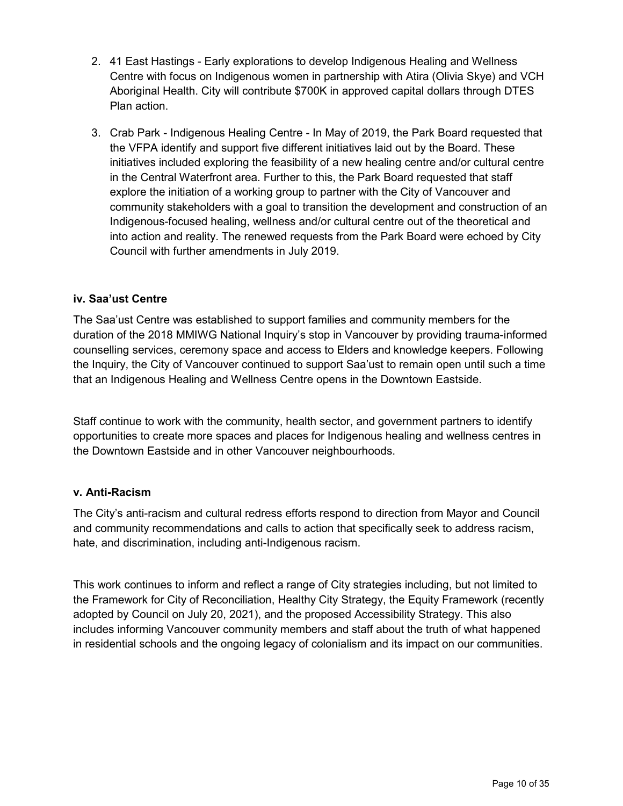- 2. 41 East Hastings Early explorations to develop Indigenous Healing and Wellness Centre with focus on Indigenous women in partnership with Atira (Olivia Skye) and VCH Aboriginal Health. City will contribute \$700K in approved capital dollars through DTES Plan action.
- 3. Crab Park Indigenous Healing Centre In May of 2019, the Park Board requested that the VFPA identify and support five different initiatives laid out by the Board. These initiatives included exploring the feasibility of a new healing centre and/or cultural centre in the Central Waterfront area. Further to this, the Park Board requested that staff explore the initiation of a working group to partner with the City of Vancouver and community stakeholders with a goal to transition the development and construction of an Indigenous-focused healing, wellness and/or cultural centre out of the theoretical and into action and reality. The renewed requests from the Park Board were echoed by City Council with further amendments in July 2019.

### **iv. Saa'ust Centre**

The Saa'ust Centre was established to support families and community members for the duration of the 2018 MMIWG National Inquiry's stop in Vancouver by providing trauma-informed counselling services, ceremony space and access to Elders and knowledge keepers. Following the Inquiry, the City of Vancouver continued to support Saa'ust to remain open until such a time that an Indigenous Healing and Wellness Centre opens in the Downtown Eastside.

Staff continue to work with the community, health sector, and government partners to identify opportunities to create more spaces and places for Indigenous healing and wellness centres in the Downtown Eastside and in other Vancouver neighbourhoods.

#### **v. Anti-Racism**

The City's anti-racism and cultural redress efforts respond to direction from Mayor and Council and community recommendations and calls to action that specifically seek to address racism, hate, and discrimination, including anti-Indigenous racism.

This work continues to inform and reflect a range of City strategies including, but not limited to the Framework for City of Reconciliation, Healthy City Strategy, the Equity Framework (recently adopted by Council on July 20, 2021), and the proposed Accessibility Strategy. This also includes informing Vancouver community members and staff about the truth of what happened in residential schools and the ongoing legacy of colonialism and its impact on our communities.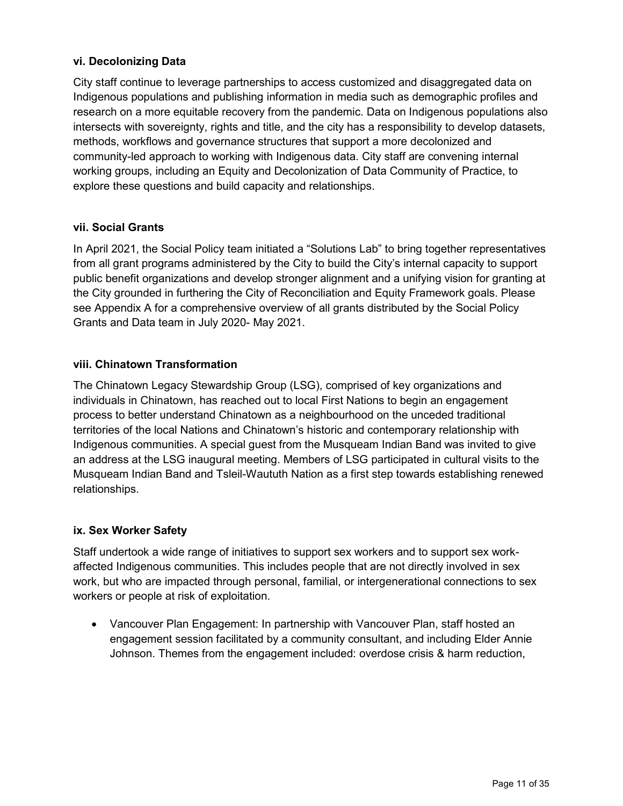### **vi. Decolonizing Data**

City staff continue to leverage partnerships to access customized and disaggregated data on Indigenous populations and publishing information in media such as demographic profiles and research on a more equitable recovery from the pandemic. Data on Indigenous populations also intersects with sovereignty, rights and title, and the city has a responsibility to develop datasets, methods, workflows and governance structures that support a more decolonized and community-led approach to working with Indigenous data. City staff are convening internal working groups, including an Equity and Decolonization of Data Community of Practice, to explore these questions and build capacity and relationships.

### **vii. Social Grants**

In April 2021, the Social Policy team initiated a "Solutions Lab" to bring together representatives from all grant programs administered by the City to build the City's internal capacity to support public benefit organizations and develop stronger alignment and a unifying vision for granting at the City grounded in furthering the City of Reconciliation and Equity Framework goals. Please see Appendix A for a comprehensive overview of all grants distributed by the Social Policy Grants and Data team in July 2020- May 2021.

### **viii. Chinatown Transformation**

The Chinatown Legacy Stewardship Group (LSG), comprised of key organizations and individuals in Chinatown, has reached out to local First Nations to begin an engagement process to better understand Chinatown as a neighbourhood on the unceded traditional territories of the local Nations and Chinatown's historic and contemporary relationship with Indigenous communities. A special guest from the Musqueam Indian Band was invited to give an address at the LSG inaugural meeting. Members of LSG participated in cultural visits to the Musqueam Indian Band and Tsleil-Waututh Nation as a first step towards establishing renewed relationships.

#### **ix. Sex Worker Safety**

Staff undertook a wide range of initiatives to support sex workers and to support sex workaffected Indigenous communities. This includes people that are not directly involved in sex work, but who are impacted through personal, familial, or intergenerational connections to sex workers or people at risk of exploitation.

• Vancouver Plan Engagement: In partnership with Vancouver Plan, staff hosted an engagement session facilitated by a community consultant, and including Elder Annie Johnson. Themes from the engagement included: overdose crisis & harm reduction,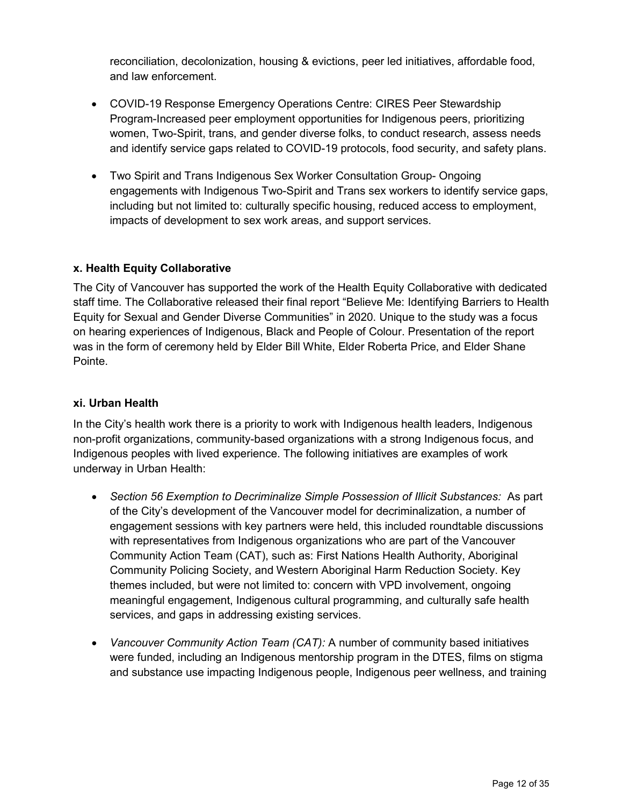reconciliation, decolonization, housing & evictions, peer led initiatives, affordable food, and law enforcement.

- COVID-19 Response Emergency Operations Centre: CIRES Peer Stewardship Program-Increased peer employment opportunities for Indigenous peers, prioritizing women, Two-Spirit, trans, and gender diverse folks, to conduct research, assess needs and identify service gaps related to COVID-19 protocols, food security, and safety plans.
- Two Spirit and Trans Indigenous Sex Worker Consultation Group- Ongoing engagements with Indigenous Two-Spirit and Trans sex workers to identify service gaps, including but not limited to: culturally specific housing, reduced access to employment, impacts of development to sex work areas, and support services.

### **x. Health Equity Collaborative**

The City of Vancouver has supported the work of the Health Equity Collaborative with dedicated staff time. The Collaborative released their final report "Believe Me: Identifying Barriers to Health Equity for Sexual and Gender Diverse Communities" in 2020. Unique to the study was a focus on hearing experiences of Indigenous, Black and People of Colour. Presentation of the report was in the form of ceremony held by Elder Bill White, Elder Roberta Price, and Elder Shane Pointe.

#### **xi. Urban Health**

In the City's health work there is a priority to work with Indigenous health leaders, Indigenous non-profit organizations, community-based organizations with a strong Indigenous focus, and Indigenous peoples with lived experience. The following initiatives are examples of work underway in Urban Health:

- *Section 56 Exemption to Decriminalize Simple Possession of Illicit Substances:* As part of the City's development of the Vancouver model for decriminalization, a number of engagement sessions with key partners were held, this included roundtable discussions with representatives from Indigenous organizations who are part of the Vancouver Community Action Team (CAT), such as: First Nations Health Authority, Aboriginal Community Policing Society, and Western Aboriginal Harm Reduction Society. Key themes included, but were not limited to: concern with VPD involvement, ongoing meaningful engagement, Indigenous cultural programming, and culturally safe health services, and gaps in addressing existing services.
- *Vancouver Community Action Team (CAT):* A number of community based initiatives were funded, including an Indigenous mentorship program in the DTES, films on stigma and substance use impacting Indigenous people, Indigenous peer wellness, and training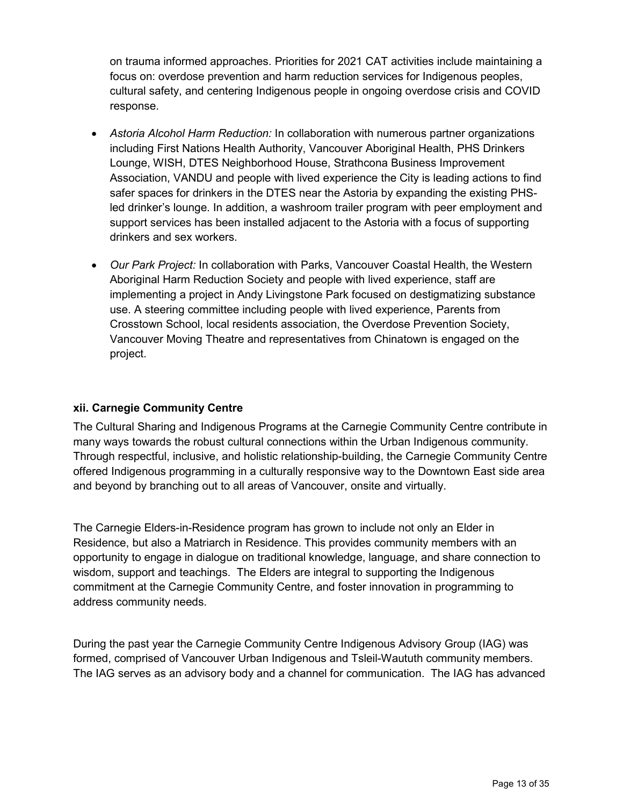on trauma informed approaches. Priorities for 2021 CAT activities include maintaining a focus on: overdose prevention and harm reduction services for Indigenous peoples, cultural safety, and centering Indigenous people in ongoing overdose crisis and COVID response.

- *Astoria Alcohol Harm Reduction:* In collaboration with numerous partner organizations including First Nations Health Authority, Vancouver Aboriginal Health, PHS Drinkers Lounge, WISH, DTES Neighborhood House, Strathcona Business Improvement Association, VANDU and people with lived experience the City is leading actions to find safer spaces for drinkers in the DTES near the Astoria by expanding the existing PHSled drinker's lounge. In addition, a washroom trailer program with peer employment and support services has been installed adjacent to the Astoria with a focus of supporting drinkers and sex workers.
- *Our Park Project:* In collaboration with Parks, Vancouver Coastal Health, the Western Aboriginal Harm Reduction Society and people with lived experience, staff are implementing a project in Andy Livingstone Park focused on destigmatizing substance use. A steering committee including people with lived experience, Parents from Crosstown School, local residents association, the Overdose Prevention Society, Vancouver Moving Theatre and representatives from Chinatown is engaged on the project.

### **xii. Carnegie Community Centre**

The Cultural Sharing and Indigenous Programs at the Carnegie Community Centre contribute in many ways towards the robust cultural connections within the Urban Indigenous community. Through respectful, inclusive, and holistic relationship-building, the Carnegie Community Centre offered Indigenous programming in a culturally responsive way to the Downtown East side area and beyond by branching out to all areas of Vancouver, onsite and virtually.

The Carnegie Elders-in-Residence program has grown to include not only an Elder in Residence, but also a Matriarch in Residence. This provides community members with an opportunity to engage in dialogue on traditional knowledge, language, and share connection to wisdom, support and teachings. The Elders are integral to supporting the Indigenous commitment at the Carnegie Community Centre, and foster innovation in programming to address community needs.

During the past year the Carnegie Community Centre Indigenous Advisory Group (IAG) was formed, comprised of Vancouver Urban Indigenous and Tsleil-Waututh community members. The IAG serves as an advisory body and a channel for communication. The IAG has advanced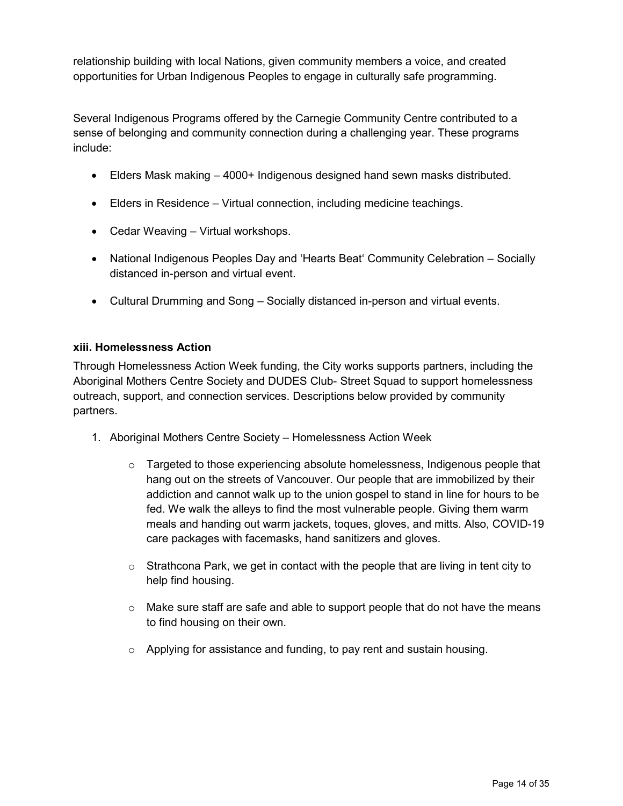relationship building with local Nations, given community members a voice, and created opportunities for Urban Indigenous Peoples to engage in culturally safe programming.

Several Indigenous Programs offered by the Carnegie Community Centre contributed to a sense of belonging and community connection during a challenging year. These programs include:

- Elders Mask making 4000+ Indigenous designed hand sewn masks distributed.
- Elders in Residence Virtual connection, including medicine teachings.
- Cedar Weaving Virtual workshops.
- National Indigenous Peoples Day and 'Hearts Beat' Community Celebration Socially distanced in-person and virtual event.
- Cultural Drumming and Song Socially distanced in-person and virtual events.

#### **xiii. Homelessness Action**

Through Homelessness Action Week funding, the City works supports partners, including the Aboriginal Mothers Centre Society and DUDES Club- Street Squad to support homelessness outreach, support, and connection services. Descriptions below provided by community partners.

- 1. Aboriginal Mothers Centre Society Homelessness Action Week
	- $\circ$  Targeted to those experiencing absolute homelessness, Indigenous people that hang out on the streets of Vancouver. Our people that are immobilized by their addiction and cannot walk up to the union gospel to stand in line for hours to be fed. We walk the alleys to find the most vulnerable people. Giving them warm meals and handing out warm jackets, toques, gloves, and mitts. Also, COVID-19 care packages with facemasks, hand sanitizers and gloves.
	- $\circ$  Strathcona Park, we get in contact with the people that are living in tent city to help find housing.
	- $\circ$  Make sure staff are safe and able to support people that do not have the means to find housing on their own.
	- o Applying for assistance and funding, to pay rent and sustain housing.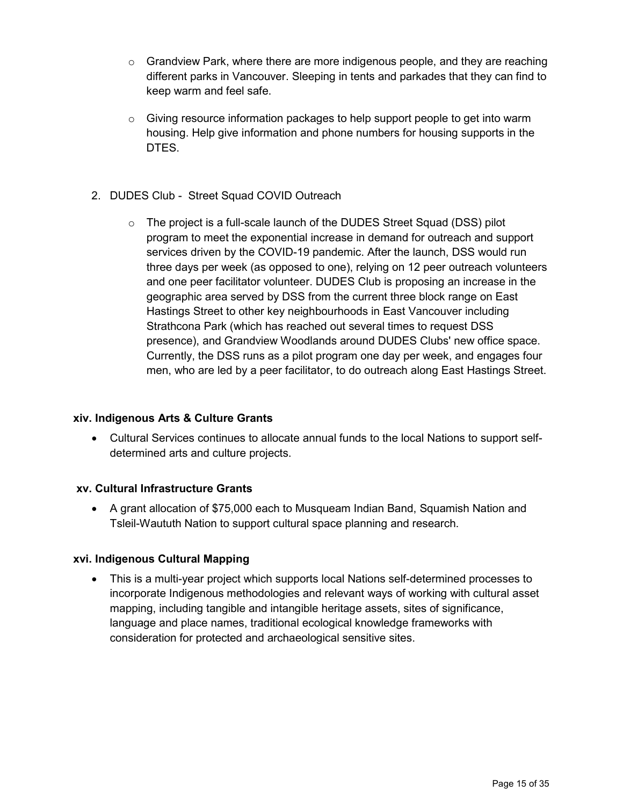- $\circ$  Grandview Park, where there are more indigenous people, and they are reaching different parks in Vancouver. Sleeping in tents and parkades that they can find to keep warm and feel safe.
- $\circ$  Giving resource information packages to help support people to get into warm housing. Help give information and phone numbers for housing supports in the DTES.
- 2. DUDES Club Street Squad COVID Outreach
	- o The project is a full-scale launch of the DUDES Street Squad (DSS) pilot program to meet the exponential increase in demand for outreach and support services driven by the COVID-19 pandemic. After the launch, DSS would run three days per week (as opposed to one), relying on 12 peer outreach volunteers and one peer facilitator volunteer. DUDES Club is proposing an increase in the geographic area served by DSS from the current three block range on East Hastings Street to other key neighbourhoods in East Vancouver including Strathcona Park (which has reached out several times to request DSS presence), and Grandview Woodlands around DUDES Clubs' new office space. Currently, the DSS runs as a pilot program one day per week, and engages four men, who are led by a peer facilitator, to do outreach along East Hastings Street.

#### **xiv. Indigenous Arts & Culture Grants**

• Cultural Services continues to allocate annual funds to the local Nations to support selfdetermined arts and culture projects.

#### **xv. Cultural Infrastructure Grants**

• A grant allocation of \$75,000 each to Musqueam Indian Band, Squamish Nation and Tsleil-Waututh Nation to support cultural space planning and research.

#### **xvi. Indigenous Cultural Mapping**

• This is a multi-year project which supports local Nations self-determined processes to incorporate Indigenous methodologies and relevant ways of working with cultural asset mapping, including tangible and intangible heritage assets, sites of significance, language and place names, traditional ecological knowledge frameworks with consideration for protected and archaeological sensitive sites.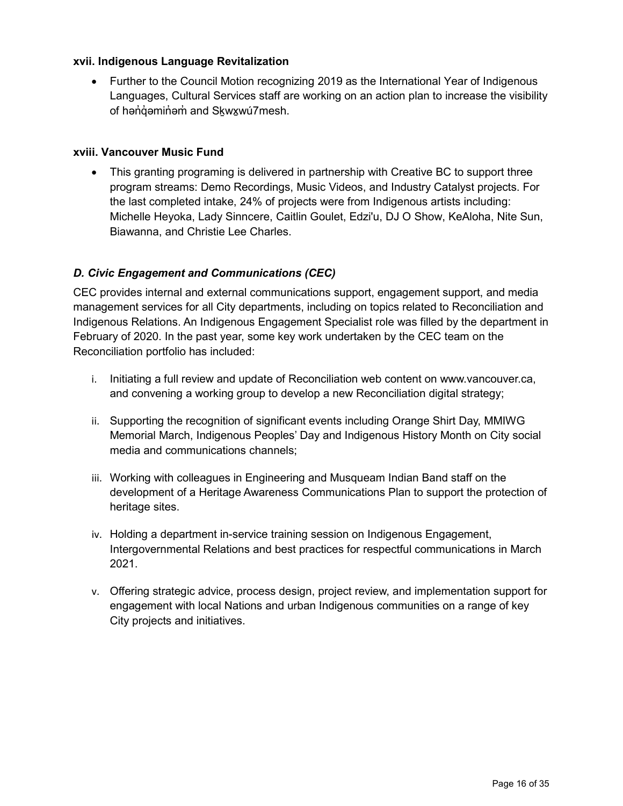### **xvii. Indigenous Language Revitalization**

• Further to the Council Motion recognizing 2019 as the International Year of Indigenous Languages, Cultural Services staff are working on an action plan to increase the visibility of hənai əmini əmind Skwxwu7mesh.

### **xviii. Vancouver Music Fund**

• This granting programing is delivered in partnership with Creative BC to support three program streams: Demo Recordings, Music Videos, and Industry Catalyst projects. For the last completed intake, 24% of projects were from Indigenous artists including: Michelle Heyoka, Lady Sinncere, Caitlin Goulet, Edzi'u, DJ O Show, KeAloha, Nite Sun, Biawanna, and Christie Lee Charles.

### *D. Civic Engagement and Communications (CEC)*

CEC provides internal and external communications support, engagement support, and media management services for all City departments, including on topics related to Reconciliation and Indigenous Relations. An Indigenous Engagement Specialist role was filled by the department in February of 2020. In the past year, some key work undertaken by the CEC team on the Reconciliation portfolio has included:

- i. Initiating a full review and update of Reconciliation web content on www.vancouver.ca, and convening a working group to develop a new Reconciliation digital strategy;
- ii. Supporting the recognition of significant events including Orange Shirt Day, MMIWG Memorial March, Indigenous Peoples' Day and Indigenous History Month on City social media and communications channels;
- iii. Working with colleagues in Engineering and Musqueam Indian Band staff on the development of a Heritage Awareness Communications Plan to support the protection of heritage sites.
- iv. Holding a department in-service training session on Indigenous Engagement, Intergovernmental Relations and best practices for respectful communications in March 2021.
- v. Offering strategic advice, process design, project review, and implementation support for engagement with local Nations and urban Indigenous communities on a range of key City projects and initiatives.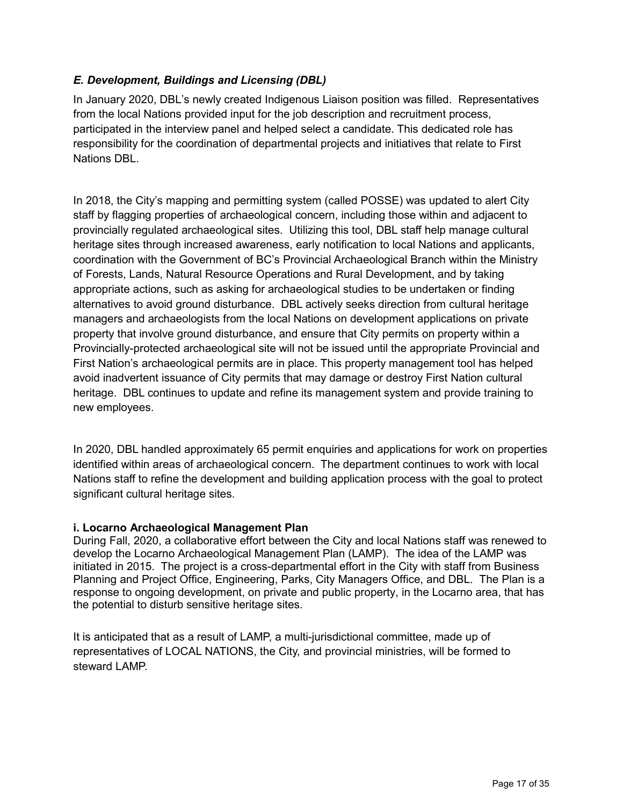### *E. Development, Buildings and Licensing (DBL)*

In January 2020, DBL's newly created Indigenous Liaison position was filled. Representatives from the local Nations provided input for the job description and recruitment process, participated in the interview panel and helped select a candidate. This dedicated role has responsibility for the coordination of departmental projects and initiatives that relate to First Nations DBL.

In 2018, the City's mapping and permitting system (called POSSE) was updated to alert City staff by flagging properties of archaeological concern, including those within and adjacent to provincially regulated archaeological sites. Utilizing this tool, DBL staff help manage cultural heritage sites through increased awareness, early notification to local Nations and applicants, coordination with the Government of BC's Provincial Archaeological Branch within the Ministry of Forests, Lands, Natural Resource Operations and Rural Development, and by taking appropriate actions, such as asking for archaeological studies to be undertaken or finding alternatives to avoid ground disturbance. DBL actively seeks direction from cultural heritage managers and archaeologists from the local Nations on development applications on private property that involve ground disturbance, and ensure that City permits on property within a Provincially-protected archaeological site will not be issued until the appropriate Provincial and First Nation's archaeological permits are in place. This property management tool has helped avoid inadvertent issuance of City permits that may damage or destroy First Nation cultural heritage. DBL continues to update and refine its management system and provide training to new employees.

In 2020, DBL handled approximately 65 permit enquiries and applications for work on properties identified within areas of archaeological concern. The department continues to work with local Nations staff to refine the development and building application process with the goal to protect significant cultural heritage sites.

#### **i. Locarno Archaeological Management Plan**

During Fall, 2020, a collaborative effort between the City and local Nations staff was renewed to develop the Locarno Archaeological Management Plan (LAMP). The idea of the LAMP was initiated in 2015. The project is a cross-departmental effort in the City with staff from Business Planning and Project Office, Engineering, Parks, City Managers Office, and DBL. The Plan is a response to ongoing development, on private and public property, in the Locarno area, that has the potential to disturb sensitive heritage sites.

It is anticipated that as a result of LAMP, a multi-jurisdictional committee, made up of representatives of LOCAL NATIONS, the City, and provincial ministries, will be formed to steward LAMP.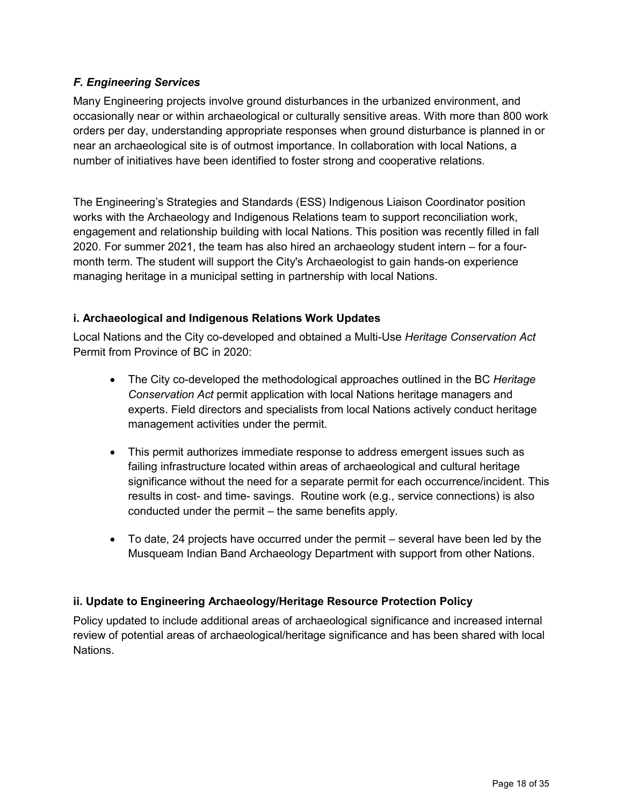# *F. Engineering Services*

Many Engineering projects involve ground disturbances in the urbanized environment, and occasionally near or within archaeological or culturally sensitive areas. With more than 800 work orders per day, understanding appropriate responses when ground disturbance is planned in or near an archaeological site is of outmost importance. In collaboration with local Nations, a number of initiatives have been identified to foster strong and cooperative relations.

The Engineering's Strategies and Standards (ESS) Indigenous Liaison Coordinator position works with the Archaeology and Indigenous Relations team to support reconciliation work, engagement and relationship building with local Nations. This position was recently filled in fall 2020. For summer 2021, the team has also hired an archaeology student intern – for a fourmonth term. The student will support the City's Archaeologist to gain hands-on experience managing heritage in a municipal setting in partnership with local Nations.

### **i. Archaeological and Indigenous Relations Work Updates**

Local Nations and the City co-developed and obtained a Multi-Use *Heritage Conservation Act* Permit from Province of BC in 2020:

- The City co-developed the methodological approaches outlined in the BC *Heritage Conservation Act* permit application with local Nations heritage managers and experts. Field directors and specialists from local Nations actively conduct heritage management activities under the permit.
- This permit authorizes immediate response to address emergent issues such as failing infrastructure located within areas of archaeological and cultural heritage significance without the need for a separate permit for each occurrence/incident. This results in cost- and time- savings. Routine work (e.g., service connections) is also conducted under the permit – the same benefits apply.
- To date, 24 projects have occurred under the permit several have been led by the Musqueam Indian Band Archaeology Department with support from other Nations.

### **ii. Update to Engineering Archaeology/Heritage Resource Protection Policy**

Policy updated to include additional areas of archaeological significance and increased internal review of potential areas of archaeological/heritage significance and has been shared with local Nations.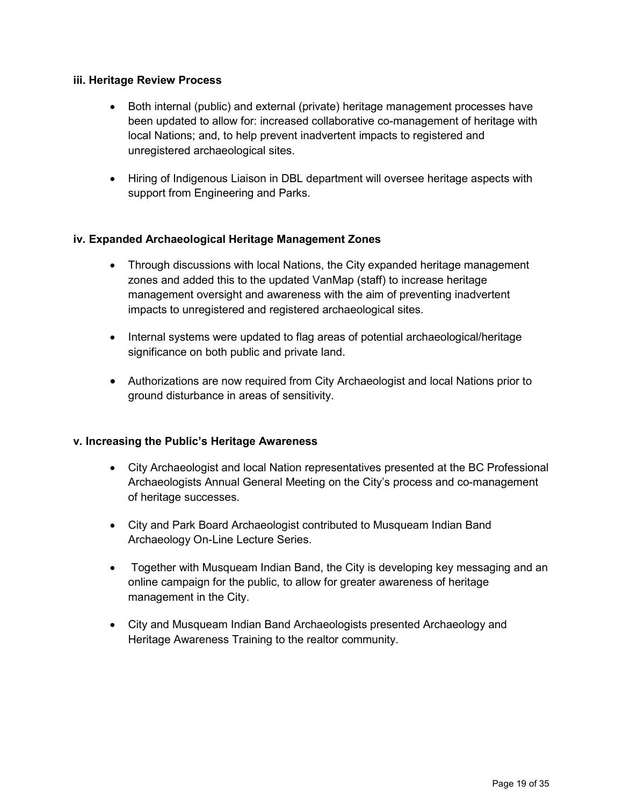#### **iii. Heritage Review Process**

- Both internal (public) and external (private) heritage management processes have been updated to allow for: increased collaborative co-management of heritage with local Nations; and, to help prevent inadvertent impacts to registered and unregistered archaeological sites.
- Hiring of Indigenous Liaison in DBL department will oversee heritage aspects with support from Engineering and Parks.

#### **iv. Expanded Archaeological Heritage Management Zones**

- Through discussions with local Nations, the City expanded heritage management zones and added this to the updated VanMap (staff) to increase heritage management oversight and awareness with the aim of preventing inadvertent impacts to unregistered and registered archaeological sites.
- Internal systems were updated to flag areas of potential archaeological/heritage significance on both public and private land.
- Authorizations are now required from City Archaeologist and local Nations prior to ground disturbance in areas of sensitivity.

#### **v. Increasing the Public's Heritage Awareness**

- City Archaeologist and local Nation representatives presented at the BC Professional Archaeologists Annual General Meeting on the City's process and co-management of heritage successes.
- City and Park Board Archaeologist contributed to Musqueam Indian Band Archaeology On-Line Lecture Series.
- Together with Musqueam Indian Band, the City is developing key messaging and an online campaign for the public, to allow for greater awareness of heritage management in the City.
- City and Musqueam Indian Band Archaeologists presented Archaeology and Heritage Awareness Training to the realtor community.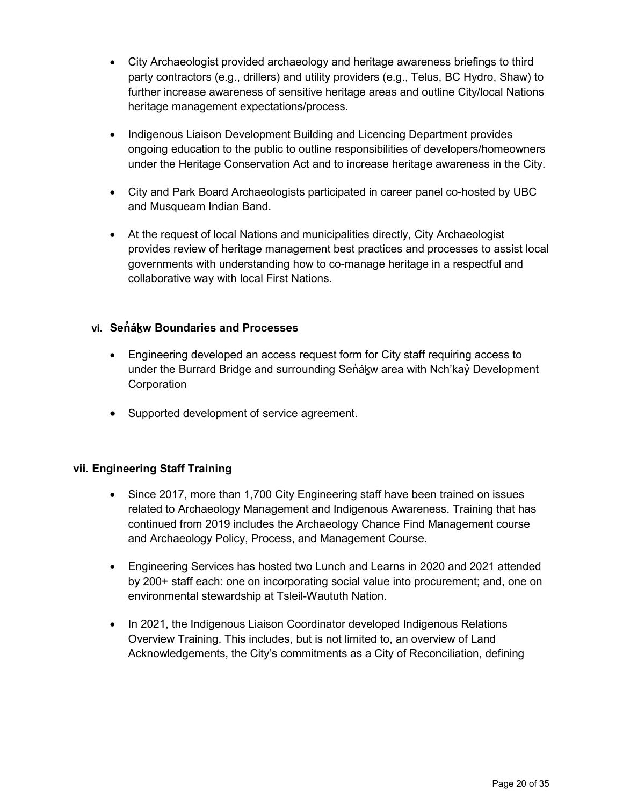- City Archaeologist provided archaeology and heritage awareness briefings to third party contractors (e.g., drillers) and utility providers (e.g., Telus, BC Hydro, Shaw) to further increase awareness of sensitive heritage areas and outline City/local Nations heritage management expectations/process.
- Indigenous Liaison Development Building and Licencing Department provides ongoing education to the public to outline responsibilities of developers/homeowners under the Heritage Conservation Act and to increase heritage awareness in the City.
- City and Park Board Archaeologists participated in career panel co-hosted by UBC and Musqueam Indian Band.
- At the request of local Nations and municipalities directly, City Archaeologist provides review of heritage management best practices and processes to assist local governments with understanding how to co-manage heritage in a respectful and collaborative way with local First Nations.

### **vi. Sen̓ áḵw Boundaries and Processes**

- Engineering developed an access request form for City staff requiring access to under the Burrard Bridge and surrounding Senakw area with Nch'kay Development **Corporation**
- Supported development of service agreement.

#### **vii. Engineering Staff Training**

- Since 2017, more than 1,700 City Engineering staff have been trained on issues related to Archaeology Management and Indigenous Awareness. Training that has continued from 2019 includes the Archaeology Chance Find Management course and Archaeology Policy, Process, and Management Course.
- Engineering Services has hosted two Lunch and Learns in 2020 and 2021 attended by 200+ staff each: one on incorporating social value into procurement; and, one on environmental stewardship at Tsleil-Waututh Nation.
- In 2021, the Indigenous Liaison Coordinator developed Indigenous Relations Overview Training. This includes, but is not limited to, an overview of Land Acknowledgements, the City's commitments as a City of Reconciliation, defining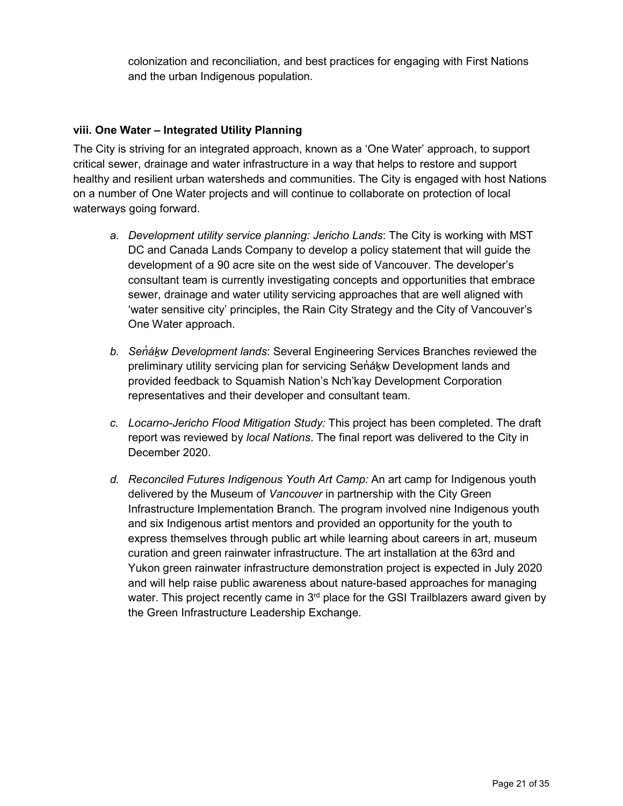colonization and reconciliation, and best practices for engaging with First Nations and the urban Indigenous population.

### **viii. One Water – Integrated Utility Planning**

The City is striving for an integrated approach, known as a 'One Water' approach, to support critical sewer, drainage and water infrastructure in a way that helps to restore and support healthy and resilient urban watersheds and communities. The City is engaged with host Nations on a number of One Water projects and will continue to collaborate on protection of local waterways going forward.

- *a. Development utility service planning: Jericho Lands*: The City is working with MST DC and Canada Lands Company to develop a policy statement that will guide the development of a 90 acre site on the west side of Vancouver. The developer's consultant team is currently investigating concepts and opportunities that embrace sewer, drainage and water utility servicing approaches that are well aligned with 'water sensitive city' principles, the Rain City Strategy and the City of Vancouver's One Water approach.
- *b. Sen̓áḵw Development lands*: Several Engineering Services Branches reviewed the preliminary utility servicing plan for servicing Senakw Development lands and provided feedback to Squamish Nation's Nch'kay Development Corporation representatives and their developer and consultant team.
- *c. Locarno-Jericho Flood Mitigation Study:* This project has been completed. The draft report was reviewed by *local Nations*. The final report was delivered to the City in December 2020.
- *d. Reconciled Futures Indigenous Youth Art Camp:* An art camp for Indigenous youth delivered by the Museum of *Vancouver* in partnership with the City Green Infrastructure Implementation Branch. The program involved nine Indigenous youth and six Indigenous artist mentors and provided an opportunity for the youth to express themselves through public art while learning about careers in art, museum curation and green rainwater infrastructure. The art installation at the 63rd and Yukon green rainwater infrastructure demonstration project is expected in July 2020 and will help raise public awareness about nature-based approaches for managing water. This project recently came in  $3<sup>rd</sup>$  place for the GSI Trailblazers award given by the Green Infrastructure Leadership Exchange.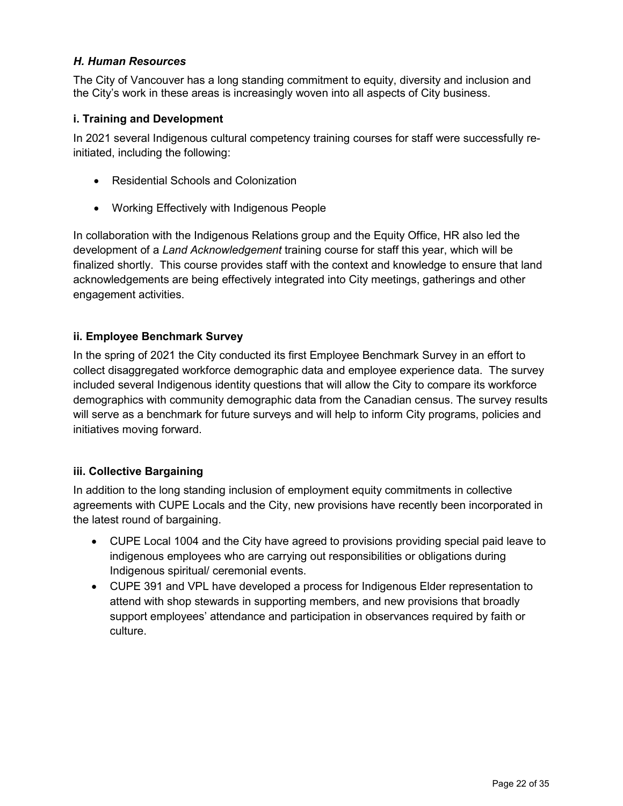### *H. Human Resources*

The City of Vancouver has a long standing commitment to equity, diversity and inclusion and the City's work in these areas is increasingly woven into all aspects of City business.

### **i. Training and Development**

In 2021 several Indigenous cultural competency training courses for staff were successfully reinitiated, including the following:

- Residential Schools and Colonization
- Working Effectively with Indigenous People

In collaboration with the Indigenous Relations group and the Equity Office, HR also led the development of a *Land Acknowledgement* training course for staff this year, which will be finalized shortly. This course provides staff with the context and knowledge to ensure that land acknowledgements are being effectively integrated into City meetings, gatherings and other engagement activities.

### **ii. Employee Benchmark Survey**

In the spring of 2021 the City conducted its first Employee Benchmark Survey in an effort to collect disaggregated workforce demographic data and employee experience data. The survey included several Indigenous identity questions that will allow the City to compare its workforce demographics with community demographic data from the Canadian census. The survey results will serve as a benchmark for future surveys and will help to inform City programs, policies and initiatives moving forward.

#### **iii. Collective Bargaining**

In addition to the long standing inclusion of employment equity commitments in collective agreements with CUPE Locals and the City, new provisions have recently been incorporated in the latest round of bargaining.

- CUPE Local 1004 and the City have agreed to provisions providing special paid leave to indigenous employees who are carrying out responsibilities or obligations during Indigenous spiritual/ ceremonial events.
- CUPE 391 and VPL have developed a process for Indigenous Elder representation to attend with shop stewards in supporting members, and new provisions that broadly support employees' attendance and participation in observances required by faith or culture.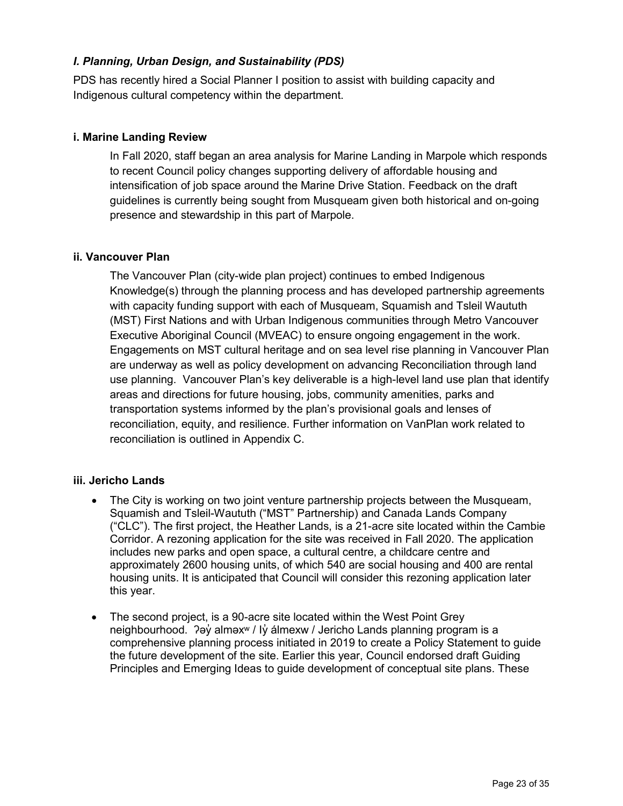### *I. Planning, Urban Design, and Sustainability (PDS)*

PDS has recently hired a Social Planner I position to assist with building capacity and Indigenous cultural competency within the department.

#### **i. Marine Landing Review**

In Fall 2020, staff began an area analysis for Marine Landing in Marpole which responds to recent Council policy changes supporting delivery of affordable housing and intensification of job space around the Marine Drive Station. Feedback on the draft guidelines is currently being sought from Musqueam given both historical and on-going presence and stewardship in this part of Marpole.

#### **ii. Vancouver Plan**

The Vancouver Plan (city-wide plan project) continues to embed Indigenous Knowledge(s) through the planning process and has developed partnership agreements with capacity funding support with each of Musqueam, Squamish and Tsleil Waututh (MST) First Nations and with Urban Indigenous communities through Metro Vancouver Executive Aboriginal Council (MVEAC) to ensure ongoing engagement in the work. Engagements on MST cultural heritage and on sea level rise planning in Vancouver Plan are underway as well as policy development on advancing Reconciliation through land use planning. Vancouver Plan's key deliverable is a high-level land use plan that identify areas and directions for future housing, jobs, community amenities, parks and transportation systems informed by the plan's provisional goals and lenses of reconciliation, equity, and resilience. Further information on VanPlan work related to reconciliation is outlined in Appendix C.

#### **iii. Jericho Lands**

- The City is working on two joint venture partnership projects between the Musqueam, Squamish and Tsleil-Waututh ("MST" Partnership) and Canada Lands Company ("CLC"). The first project, the Heather Lands, is a 21-acre site located within the Cambie Corridor. A rezoning application for the site was received in Fall 2020. The application includes new parks and open space, a cultural centre, a childcare centre and approximately 2600 housing units, of which 540 are social housing and 400 are rental housing units. It is anticipated that Council will consider this rezoning application later this year.
- The second project, is a 90-acre site located within the West Point Grey neighbourhood. ʔəy̓ alməxʷ / Iy̓ álmexw / Jericho Lands planning program is a comprehensive planning process initiated in 2019 to create a Policy Statement to guide the future development of the site. Earlier this year, Council endorsed draft Guiding Principles and Emerging Ideas to guide development of conceptual site plans. These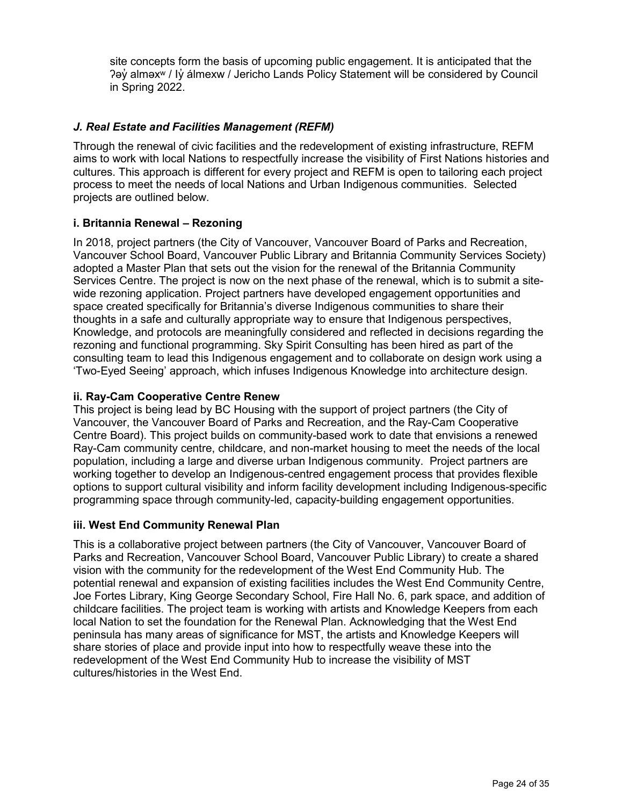site concepts form the basis of upcoming public engagement. It is anticipated that the ʔəy̓ alməxʷ / Iy̓ álmexw / Jericho Lands Policy Statement will be considered by Council in Spring 2022.

### *J. Real Estate and Facilities Management (REFM)*

Through the renewal of civic facilities and the redevelopment of existing infrastructure, REFM aims to work with local Nations to respectfully increase the visibility of First Nations histories and cultures. This approach is different for every project and REFM is open to tailoring each project process to meet the needs of local Nations and Urban Indigenous communities. Selected projects are outlined below.

#### **i. Britannia Renewal – Rezoning**

In 2018, project partners (the City of Vancouver, Vancouver Board of Parks and Recreation, Vancouver School Board, Vancouver Public Library and Britannia Community Services Society) adopted a Master Plan that sets out the vision for the renewal of the Britannia Community Services Centre. The project is now on the next phase of the renewal, which is to submit a sitewide rezoning application. Project partners have developed engagement opportunities and space created specifically for Britannia's diverse Indigenous communities to share their thoughts in a safe and culturally appropriate way to ensure that Indigenous perspectives, Knowledge, and protocols are meaningfully considered and reflected in decisions regarding the rezoning and functional programming. Sky Spirit Consulting has been hired as part of the consulting team to lead this Indigenous engagement and to collaborate on design work using a 'Two-Eyed Seeing' approach, which infuses Indigenous Knowledge into architecture design.

### **ii. Ray-Cam Cooperative Centre Renew**

This project is being lead by BC Housing with the support of project partners (the City of Vancouver, the Vancouver Board of Parks and Recreation, and the Ray-Cam Cooperative Centre Board). This project builds on community-based work to date that envisions a renewed Ray-Cam community centre, childcare, and non-market housing to meet the needs of the local population, including a large and diverse urban Indigenous community. Project partners are working together to develop an Indigenous-centred engagement process that provides flexible options to support cultural visibility and inform facility development including Indigenous-specific programming space through community-led, capacity-building engagement opportunities.

#### **iii. West End Community Renewal Plan**

This is a collaborative project between partners (the City of Vancouver, Vancouver Board of Parks and Recreation, Vancouver School Board, Vancouver Public Library) to create a shared vision with the community for the redevelopment of the West End Community Hub. The potential renewal and expansion of existing facilities includes the West End Community Centre, Joe Fortes Library, King George Secondary School, Fire Hall No. 6, park space, and addition of childcare facilities. The project team is working with artists and Knowledge Keepers from each local Nation to set the foundation for the Renewal Plan. Acknowledging that the West End peninsula has many areas of significance for MST, the artists and Knowledge Keepers will share stories of place and provide input into how to respectfully weave these into the redevelopment of the West End Community Hub to increase the visibility of MST cultures/histories in the West End.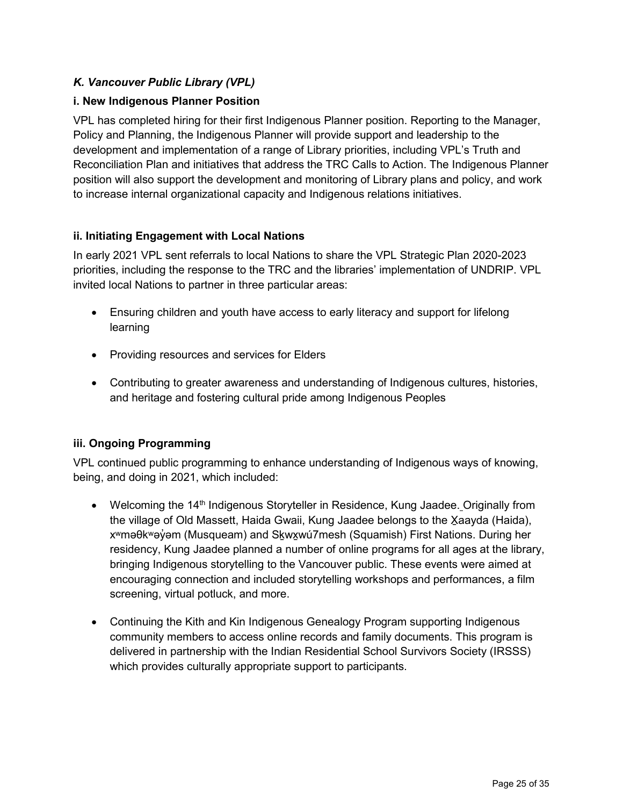# *K. Vancouver Public Library (VPL)*

### **i. New Indigenous Planner Position**

VPL has completed hiring for their first Indigenous Planner position. Reporting to the Manager, Policy and Planning, the Indigenous Planner will provide support and leadership to the development and implementation of a range of Library priorities, including VPL's Truth and Reconciliation Plan and initiatives that address the TRC Calls to Action. The Indigenous Planner position will also support the development and monitoring of Library plans and policy, and work to increase internal organizational capacity and Indigenous relations initiatives.

### **ii. Initiating Engagement with Local Nations**

In early 2021 VPL sent referrals to local Nations to share the VPL Strategic Plan 2020-2023 priorities, including the response to the TRC and the libraries' implementation of UNDRIP. VPL invited local Nations to partner in three particular areas:

- Ensuring children and youth have access to early literacy and support for lifelong learning
- Providing resources and services for Elders
- Contributing to greater awareness and understanding of Indigenous cultures, histories, and heritage and fostering cultural pride among Indigenous Peoples

### **iii. Ongoing Programming**

VPL continued public programming to enhance understanding of Indigenous ways of knowing, being, and doing in 2021, which included:

- Welcoming the 14<sup>th</sup> Indigenous Storyteller in Residence, Kung Jaadee. Originally from the village of Old Massett, Haida Gwaii, Kung Jaadee belongs to the X̱aayda (Haida), x<sup>w</sup>məθk<sup>w</sup>əy̓ əm (Musqueam) and Skwxwú7mesh (Squamish) First Nations. During her residency, Kung Jaadee planned a number of online programs for all ages at the library, bringing Indigenous storytelling to the Vancouver public. These events were aimed at encouraging connection and included storytelling workshops and performances, a film screening, virtual potluck, and more.
- Continuing the Kith and Kin Indigenous Genealogy Program supporting Indigenous community members to access online records and family documents. This program is delivered in partnership with the Indian Residential School Survivors Society (IRSSS) which provides culturally appropriate support to participants.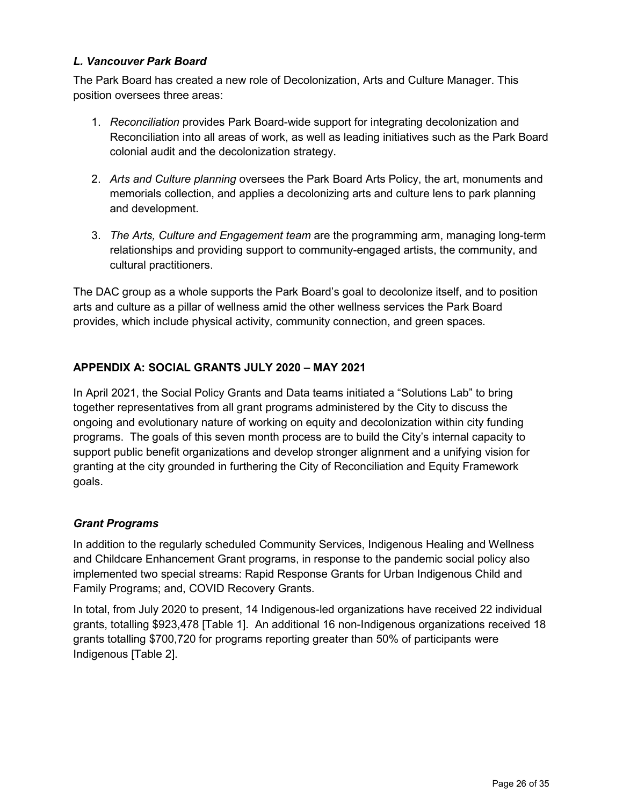### *L. Vancouver Park Board*

The Park Board has created a new role of Decolonization, Arts and Culture Manager. This position oversees three areas:

- 1. *Reconciliation* provides Park Board-wide support for integrating decolonization and Reconciliation into all areas of work, as well as leading initiatives such as the Park Board colonial audit and the decolonization strategy.
- 2. *Arts and Culture planning* oversees the Park Board Arts Policy, the art, monuments and memorials collection, and applies a decolonizing arts and culture lens to park planning and development.
- 3. *The Arts, Culture and Engagement team* are the programming arm, managing long-term relationships and providing support to community-engaged artists, the community, and cultural practitioners.

The DAC group as a whole supports the Park Board's goal to decolonize itself, and to position arts and culture as a pillar of wellness amid the other wellness services the Park Board provides, which include physical activity, community connection, and green spaces.

### **APPENDIX A: SOCIAL GRANTS JULY 2020 – MAY 2021**

In April 2021, the Social Policy Grants and Data teams initiated a "Solutions Lab" to bring together representatives from all grant programs administered by the City to discuss the ongoing and evolutionary nature of working on equity and decolonization within city funding programs. The goals of this seven month process are to build the City's internal capacity to support public benefit organizations and develop stronger alignment and a unifying vision for granting at the city grounded in furthering the City of Reconciliation and Equity Framework goals.

#### *Grant Programs*

In addition to the regularly scheduled Community Services, Indigenous Healing and Wellness and Childcare Enhancement Grant programs, in response to the pandemic social policy also implemented two special streams: Rapid Response Grants for Urban Indigenous Child and Family Programs; and, COVID Recovery Grants.

In total, from July 2020 to present, 14 Indigenous-led organizations have received 22 individual grants, totalling \$923,478 [Table 1]. An additional 16 non-Indigenous organizations received 18 grants totalling \$700,720 for programs reporting greater than 50% of participants were Indigenous [Table 2].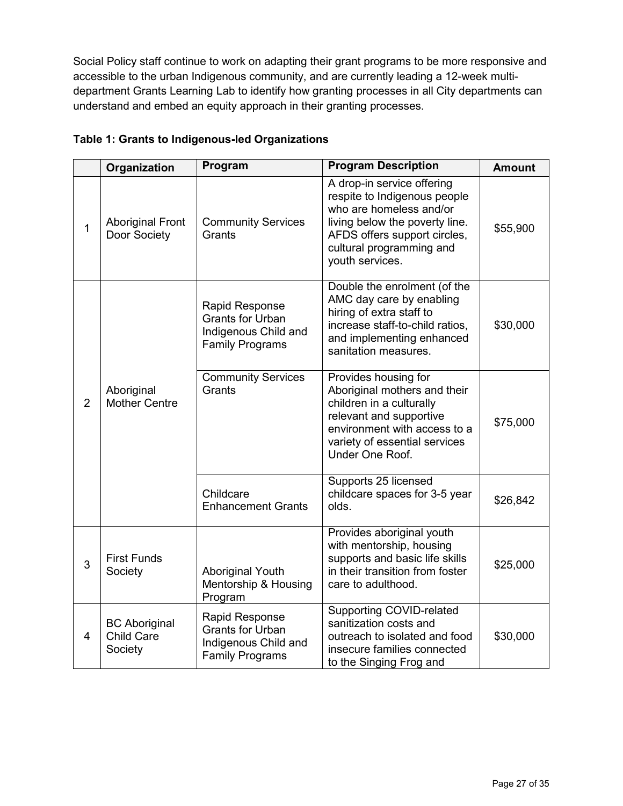Social Policy staff continue to work on adapting their grant programs to be more responsive and accessible to the urban Indigenous community, and are currently leading a 12-week multidepartment Grants Learning Lab to identify how granting processes in all City departments can understand and embed an equity approach in their granting processes.

|                | Organization                                         | Program                                                                                     | <b>Program Description</b>                                                                                                                                                                             | <b>Amount</b> |
|----------------|------------------------------------------------------|---------------------------------------------------------------------------------------------|--------------------------------------------------------------------------------------------------------------------------------------------------------------------------------------------------------|---------------|
| $\mathbf{1}$   | <b>Aboriginal Front</b><br>Door Society              | <b>Community Services</b><br>Grants                                                         | A drop-in service offering<br>respite to Indigenous people<br>who are homeless and/or<br>living below the poverty line.<br>AFDS offers support circles,<br>cultural programming and<br>youth services. | \$55,900      |
| $\overline{2}$ | Aboriginal<br><b>Mother Centre</b>                   | Rapid Response<br><b>Grants for Urban</b><br>Indigenous Child and<br><b>Family Programs</b> | Double the enrolment (of the<br>AMC day care by enabling<br>hiring of extra staff to<br>increase staff-to-child ratios,<br>and implementing enhanced<br>sanitation measures.                           | \$30,000      |
|                |                                                      | <b>Community Services</b><br>Grants                                                         | Provides housing for<br>Aboriginal mothers and their<br>children in a culturally<br>relevant and supportive<br>environment with access to a<br>variety of essential services<br>Under One Roof.        | \$75,000      |
|                |                                                      | Childcare<br><b>Enhancement Grants</b>                                                      | Supports 25 licensed<br>childcare spaces for 3-5 year<br>olds.                                                                                                                                         | \$26,842      |
| 3              | <b>First Funds</b><br>Society                        | <b>Aboriginal Youth</b><br>Mentorship & Housing<br>Program                                  | Provides aboriginal youth<br>with mentorship, housing<br>supports and basic life skills<br>in their transition from foster<br>care to adulthood.                                                       | \$25,000      |
| $\overline{4}$ | <b>BC</b> Aboriginal<br><b>Child Care</b><br>Society | Rapid Response<br><b>Grants for Urban</b><br>Indigenous Child and<br><b>Family Programs</b> | <b>Supporting COVID-related</b><br>sanitization costs and<br>outreach to isolated and food<br>insecure families connected<br>to the Singing Frog and                                                   | \$30,000      |

### **Table 1: Grants to Indigenous-led Organizations**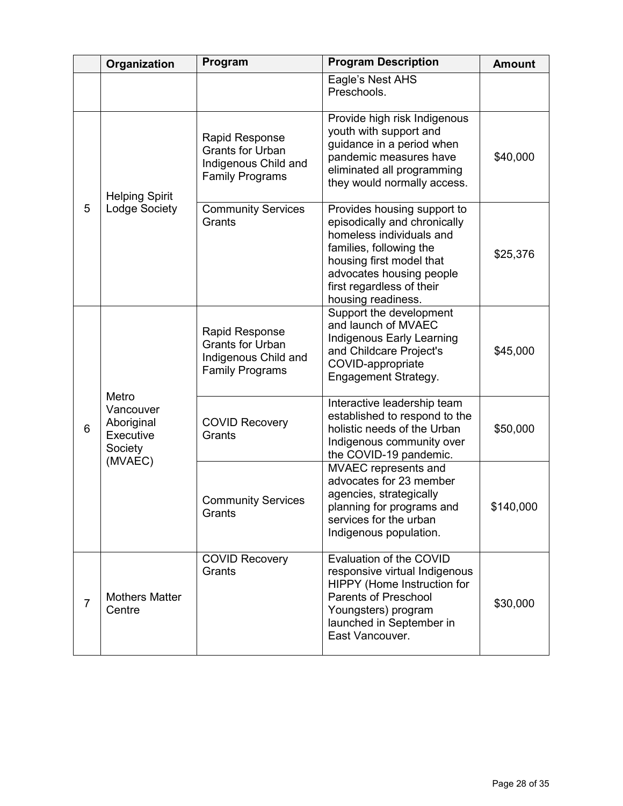|                | Organization                                                        | Program                                                                                     | <b>Program Description</b>                                                                                                                                                                                                    | <b>Amount</b> |
|----------------|---------------------------------------------------------------------|---------------------------------------------------------------------------------------------|-------------------------------------------------------------------------------------------------------------------------------------------------------------------------------------------------------------------------------|---------------|
|                |                                                                     |                                                                                             | Eagle's Nest AHS<br>Preschools.                                                                                                                                                                                               |               |
| 5              | <b>Helping Spirit</b><br>Lodge Society                              | Rapid Response<br><b>Grants for Urban</b><br>Indigenous Child and<br><b>Family Programs</b> | Provide high risk Indigenous<br>youth with support and<br>guidance in a period when<br>pandemic measures have<br>eliminated all programming<br>they would normally access.                                                    | \$40,000      |
|                |                                                                     | <b>Community Services</b><br>Grants                                                         | Provides housing support to<br>episodically and chronically<br>homeless individuals and<br>families, following the<br>housing first model that<br>advocates housing people<br>first regardless of their<br>housing readiness. | \$25,376      |
| 6              | Metro<br>Vancouver<br>Aboriginal<br>Executive<br>Society<br>(MVAEC) | Rapid Response<br><b>Grants for Urban</b><br>Indigenous Child and<br><b>Family Programs</b> | Support the development<br>and launch of MVAEC<br>Indigenous Early Learning<br>and Childcare Project's<br>COVID-appropriate<br>Engagement Strategy.                                                                           | \$45,000      |
|                |                                                                     | <b>COVID Recovery</b><br>Grants                                                             | Interactive leadership team<br>established to respond to the<br>holistic needs of the Urban<br>Indigenous community over<br>the COVID-19 pandemic.                                                                            | \$50,000      |
|                |                                                                     | <b>Community Services</b><br>Grants                                                         | MVAEC represents and<br>advocates for 23 member<br>agencies, strategically<br>planning for programs and<br>services for the urban<br>Indigenous population.                                                                   | \$140,000     |
| $\overline{7}$ | <b>Mothers Matter</b><br>Centre                                     | <b>COVID Recovery</b><br>Grants                                                             | Evaluation of the COVID<br>responsive virtual Indigenous<br>HIPPY (Home Instruction for<br><b>Parents of Preschool</b><br>Youngsters) program<br>launched in September in<br>East Vancouver.                                  | \$30,000      |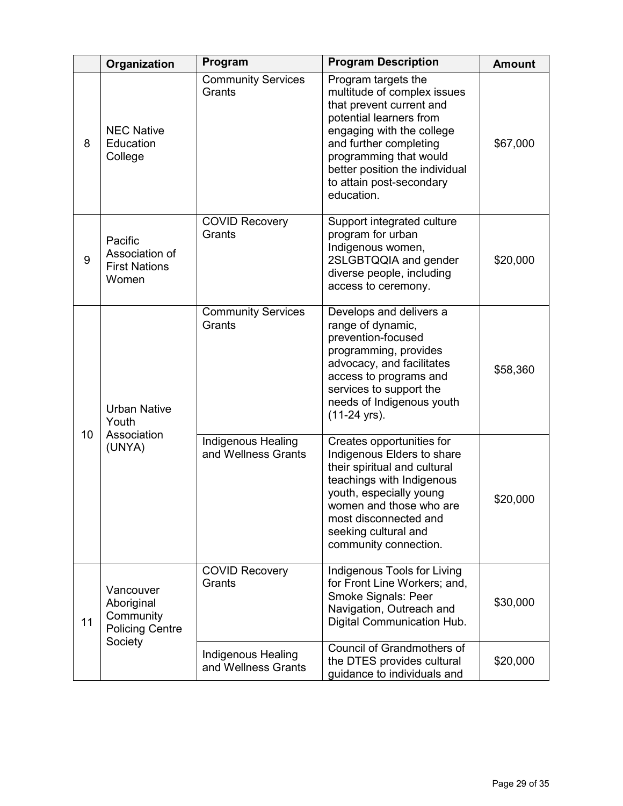|    | Organization                                                              | Program                                          | <b>Program Description</b>                                                                                                                                                                                                                                             | <b>Amount</b> |
|----|---------------------------------------------------------------------------|--------------------------------------------------|------------------------------------------------------------------------------------------------------------------------------------------------------------------------------------------------------------------------------------------------------------------------|---------------|
| 8  | <b>NEC Native</b><br>Education<br>College                                 | <b>Community Services</b><br>Grants              | Program targets the<br>multitude of complex issues<br>that prevent current and<br>potential learners from<br>engaging with the college<br>and further completing<br>programming that would<br>better position the individual<br>to attain post-secondary<br>education. | \$67,000      |
| 9  | Pacific<br>Association of<br><b>First Nations</b><br>Women                | <b>COVID Recovery</b><br>Grants                  | Support integrated culture<br>program for urban<br>Indigenous women,<br>2SLGBTQQIA and gender<br>diverse people, including<br>access to ceremony.                                                                                                                      | \$20,000      |
| 10 | <b>Urban Native</b><br>Youth                                              | <b>Community Services</b><br>Grants              | Develops and delivers a<br>range of dynamic,<br>prevention-focused<br>programming, provides<br>advocacy, and facilitates<br>access to programs and<br>services to support the<br>needs of Indigenous youth<br>(11-24 yrs).                                             | \$58,360      |
|    | Association<br>(UNYA)                                                     | <b>Indigenous Healing</b><br>and Wellness Grants | Creates opportunities for<br>Indigenous Elders to share<br>their spiritual and cultural<br>teachings with Indigenous<br>youth, especially young<br>women and those who are<br>most disconnected and<br>seeking cultural and<br>community connection.                   | \$20,000      |
| 11 | Vancouver<br>Aboriginal<br>Community<br><b>Policing Centre</b><br>Society | <b>COVID Recovery</b><br>Grants                  | Indigenous Tools for Living<br>for Front Line Workers; and,<br>Smoke Signals: Peer<br>Navigation, Outreach and<br>Digital Communication Hub.                                                                                                                           | \$30,000      |
|    |                                                                           | <b>Indigenous Healing</b><br>and Wellness Grants | Council of Grandmothers of<br>the DTES provides cultural<br>guidance to individuals and                                                                                                                                                                                | \$20,000      |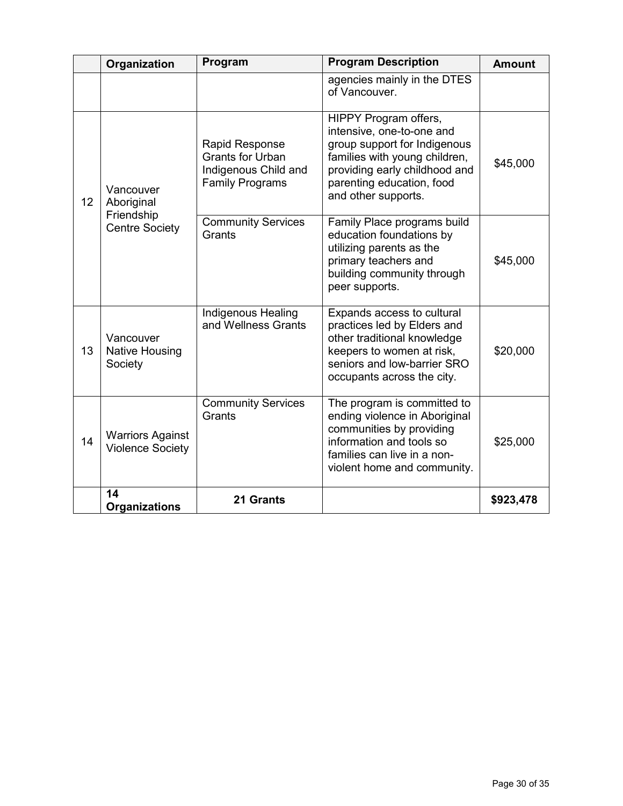|    | Organization                                                   | Program                                                                                            | <b>Program Description</b>                                                                                                                                                                               | <b>Amount</b> |
|----|----------------------------------------------------------------|----------------------------------------------------------------------------------------------------|----------------------------------------------------------------------------------------------------------------------------------------------------------------------------------------------------------|---------------|
|    |                                                                |                                                                                                    | agencies mainly in the DTES<br>of Vancouver.                                                                                                                                                             |               |
| 12 | Vancouver<br>Aboriginal<br>Friendship<br><b>Centre Society</b> | <b>Rapid Response</b><br><b>Grants for Urban</b><br>Indigenous Child and<br><b>Family Programs</b> | HIPPY Program offers,<br>intensive, one-to-one and<br>group support for Indigenous<br>families with young children,<br>providing early childhood and<br>parenting education, food<br>and other supports. | \$45,000      |
|    |                                                                | <b>Community Services</b><br>Grants                                                                | Family Place programs build<br>education foundations by<br>utilizing parents as the<br>primary teachers and<br>building community through<br>peer supports.                                              | \$45,000      |
| 13 | Vancouver<br>Native Housing<br>Society                         | Indigenous Healing<br>and Wellness Grants                                                          | Expands access to cultural<br>practices led by Elders and<br>other traditional knowledge<br>keepers to women at risk,<br>seniors and low-barrier SRO<br>occupants across the city.                       | \$20,000      |
| 14 | <b>Warriors Against</b><br><b>Violence Society</b>             | <b>Community Services</b><br>Grants                                                                | The program is committed to<br>ending violence in Aboriginal<br>communities by providing<br>information and tools so<br>families can live in a non-<br>violent home and community.                       | \$25,000      |
|    | 14<br><b>Organizations</b>                                     | 21 Grants                                                                                          |                                                                                                                                                                                                          | \$923,478     |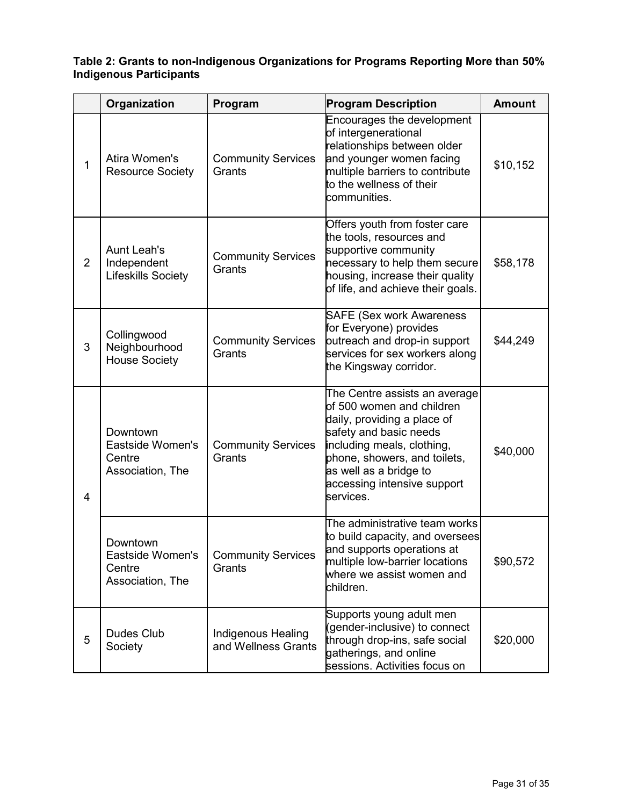#### **Table 2: Grants to non-Indigenous Organizations for Programs Reporting More than 50% Indigenous Participants**

|                | Organization                                                   | Program                                   | <b>Program Description</b>                                                                                                                                                                                                                              | <b>Amount</b> |
|----------------|----------------------------------------------------------------|-------------------------------------------|---------------------------------------------------------------------------------------------------------------------------------------------------------------------------------------------------------------------------------------------------------|---------------|
| $\mathbf{1}$   | Atira Women's<br><b>Resource Society</b>                       | <b>Community Services</b><br>Grants       | Encourages the development<br>of intergenerational<br>relationships between older<br>and younger women facing<br>multiple barriers to contribute<br>to the wellness of their<br>communities.                                                            | \$10,152      |
| $\overline{2}$ | <b>Aunt Leah's</b><br>Independent<br><b>Lifeskills Society</b> | <b>Community Services</b><br>Grants       | Offers youth from foster care<br>the tools, resources and<br>supportive community<br>necessary to help them secure<br>housing, increase their quality<br>of life, and achieve their goals.                                                              | \$58,178      |
| 3              | Collingwood<br>Neighbourhood<br><b>House Society</b>           | <b>Community Services</b><br>Grants       | <b>SAFE (Sex work Awareness</b><br>for Everyone) provides<br>outreach and drop-in support<br>services for sex workers along<br>the Kingsway corridor.                                                                                                   | \$44,249      |
| 4              | Downtown<br>Eastside Women's<br>Centre<br>Association, The     | <b>Community Services</b><br>Grants       | The Centre assists an average<br>of 500 women and children<br>daily, providing a place of<br>safety and basic needs<br>including meals, clothing,<br>phone, showers, and toilets,<br>as well as a bridge to<br>accessing intensive support<br>services. | \$40,000      |
|                | Downtown<br>Eastside Women's<br>Centre<br>Association, The     | <b>Community Services</b><br>Grants       | The administrative team works<br>to build capacity, and oversees<br>and supports operations at<br>multiple low-barrier locations<br>where we assist women and<br>children.                                                                              | \$90,572      |
| 5              | Dudes Club<br>Society                                          | Indigenous Healing<br>and Wellness Grants | Supports young adult men<br>(gender-inclusive) to connect<br>through drop-ins, safe social<br>gatherings, and online<br>sessions. Activities focus on                                                                                                   | \$20,000      |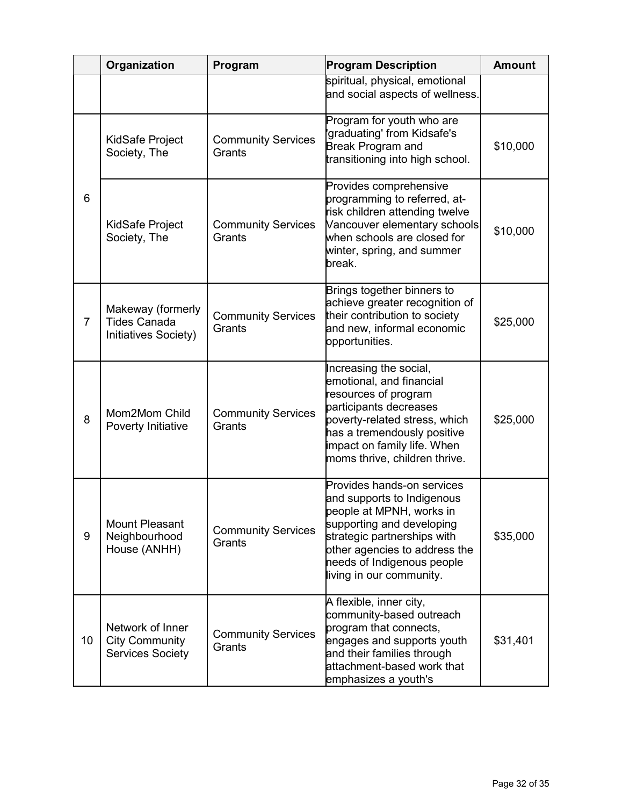|                | Organization                                                         | Program                             | <b>Program Description</b>                                                                                                                                                                                                                  | <b>Amount</b> |
|----------------|----------------------------------------------------------------------|-------------------------------------|---------------------------------------------------------------------------------------------------------------------------------------------------------------------------------------------------------------------------------------------|---------------|
|                |                                                                      |                                     | spiritual, physical, emotional<br>and social aspects of wellness.                                                                                                                                                                           |               |
|                | KidSafe Project<br>Society, The                                      | <b>Community Services</b><br>Grants | Program for youth who are<br>'graduating' from Kidsafe's<br>Break Program and<br>transitioning into high school.                                                                                                                            | \$10,000      |
| 6              | KidSafe Project<br>Society, The                                      | <b>Community Services</b><br>Grants | Provides comprehensive<br>programming to referred, at-<br>risk children attending twelve<br>Vancouver elementary schools<br>when schools are closed for<br>winter, spring, and summer<br>break.                                             | \$10,000      |
| $\overline{7}$ | Makeway (formerly<br><b>Tides Canada</b><br>Initiatives Society)     | <b>Community Services</b><br>Grants | Brings together binners to<br>achieve greater recognition of<br>their contribution to society<br>and new, informal economic<br>opportunities.                                                                                               | \$25,000      |
| 8              | Mom2Mom Child<br>Poverty Initiative                                  | <b>Community Services</b><br>Grants | Increasing the social,<br>emotional, and financial<br>resources of program<br>participants decreases<br>poverty-related stress, which<br>has a tremendously positive<br>impact on family life. When<br>moms thrive, children thrive.        | \$25,000      |
| 9              | <b>Mount Pleasant</b><br>Neighbourhood<br>House (ANHH)               | <b>Community Services</b><br>Grants | Provides hands-on services<br>and supports to Indigenous<br>people at MPNH, works in<br>supporting and developing<br>strategic partnerships with<br>other agencies to address the<br>needs of Indigenous people<br>living in our community. | \$35,000      |
| 10             | Network of Inner<br><b>City Community</b><br><b>Services Society</b> | <b>Community Services</b><br>Grants | A flexible, inner city,<br>community-based outreach<br>program that connects,<br>engages and supports youth<br>and their families through<br>attachment-based work that<br>emphasizes a youth's                                             | \$31,401      |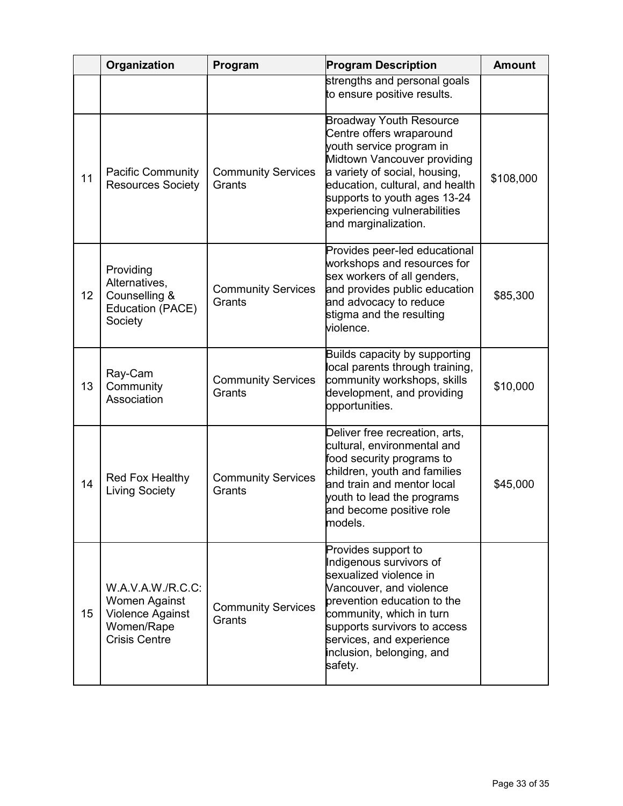|    | Organization                                                                                        | Program                             | <b>Program Description</b>                                                                                                                                                                                                                                                        | <b>Amount</b> |
|----|-----------------------------------------------------------------------------------------------------|-------------------------------------|-----------------------------------------------------------------------------------------------------------------------------------------------------------------------------------------------------------------------------------------------------------------------------------|---------------|
|    |                                                                                                     |                                     | strengths and personal goals<br>to ensure positive results.                                                                                                                                                                                                                       |               |
| 11 | <b>Pacific Community</b><br><b>Resources Society</b>                                                | <b>Community Services</b><br>Grants | <b>Broadway Youth Resource</b><br>Centre offers wraparound<br>youth service program in<br>Midtown Vancouver providing<br>a variety of social, housing,<br>education, cultural, and health<br>supports to youth ages 13-24<br>experiencing vulnerabilities<br>and marginalization. | \$108,000     |
| 12 | Providing<br>Alternatives,<br>Counselling &<br>Education (PACE)<br>Society                          | <b>Community Services</b><br>Grants | Provides peer-led educational<br>workshops and resources for<br>sex workers of all genders,<br>and provides public education<br>and advocacy to reduce<br>stigma and the resulting<br>violence.                                                                                   | \$85,300      |
| 13 | Ray-Cam<br>Community<br>Association                                                                 | <b>Community Services</b><br>Grants | Builds capacity by supporting<br>local parents through training,<br>community workshops, skills<br>development, and providing<br>opportunities.                                                                                                                                   | \$10,000      |
| 14 | Red Fox Healthy<br><b>Living Society</b>                                                            | <b>Community Services</b><br>Grants | Deliver free recreation, arts,<br>cultural, environmental and<br>food security programs to<br>children, youth and families<br>and train and mentor local<br>youth to lead the programs<br>and become positive role<br>models.                                                     | \$45,000      |
| 15 | W.A.V.A.W./R.C.C:<br>Women Against<br><b>Violence Against</b><br>Women/Rape<br><b>Crisis Centre</b> | <b>Community Services</b><br>Grants | Provides support to<br>Indigenous survivors of<br>sexualized violence in<br>Vancouver, and violence<br>prevention education to the<br>community, which in turn<br>supports survivors to access<br>services, and experience<br>inclusion, belonging, and<br>safety.                |               |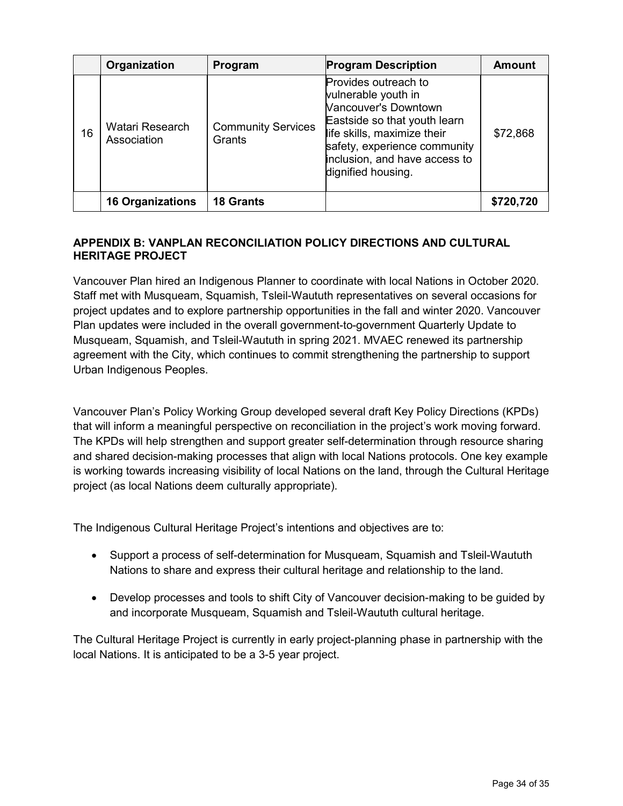|    | Organization                   | Program                             | <b>Program Description</b>                                                                                                                                                                                                | <b>Amount</b> |
|----|--------------------------------|-------------------------------------|---------------------------------------------------------------------------------------------------------------------------------------------------------------------------------------------------------------------------|---------------|
| 16 | Watari Research<br>Association | <b>Community Services</b><br>Grants | Provides outreach to<br>vulnerable youth in<br>Vancouver's Downtown<br>Eastside so that youth learn<br>life skills, maximize their<br>safety, experience community<br>inclusion, and have access to<br>dignified housing. | \$72,868      |
|    | <b>16 Organizations</b>        | <b>18 Grants</b>                    |                                                                                                                                                                                                                           | \$720,720     |

### **APPENDIX B: VANPLAN RECONCILIATION POLICY DIRECTIONS AND CULTURAL HERITAGE PROJECT**

Vancouver Plan hired an Indigenous Planner to coordinate with local Nations in October 2020. Staff met with Musqueam, Squamish, Tsleil-Waututh representatives on several occasions for project updates and to explore partnership opportunities in the fall and winter 2020. Vancouver Plan updates were included in the overall government-to-government Quarterly Update to Musqueam, Squamish, and Tsleil-Waututh in spring 2021. MVAEC renewed its partnership agreement with the City, which continues to commit strengthening the partnership to support Urban Indigenous Peoples.

Vancouver Plan's Policy Working Group developed several draft Key Policy Directions (KPDs) that will inform a meaningful perspective on reconciliation in the project's work moving forward. The KPDs will help strengthen and support greater self-determination through resource sharing and shared decision-making processes that align with local Nations protocols. One key example is working towards increasing visibility of local Nations on the land, through the Cultural Heritage project (as local Nations deem culturally appropriate).

The Indigenous Cultural Heritage Project's intentions and objectives are to:

- Support a process of self-determination for Musqueam, Squamish and Tsleil-Waututh Nations to share and express their cultural heritage and relationship to the land.
- Develop processes and tools to shift City of Vancouver decision-making to be guided by and incorporate Musqueam, Squamish and Tsleil-Waututh cultural heritage.

The Cultural Heritage Project is currently in early project-planning phase in partnership with the local Nations. It is anticipated to be a 3-5 year project.